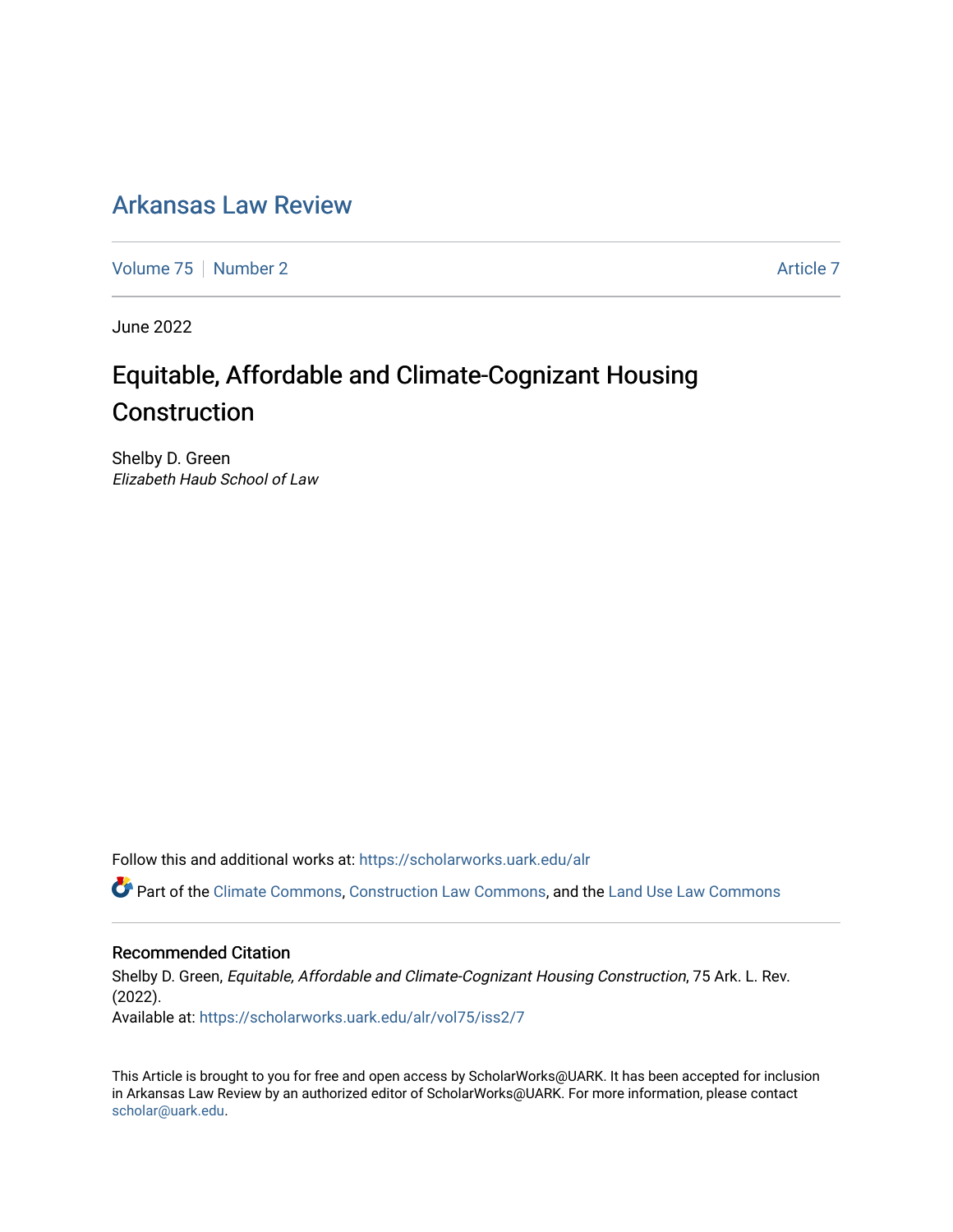## [Arkansas Law Review](https://scholarworks.uark.edu/alr)

[Volume 75](https://scholarworks.uark.edu/alr/vol75) [Number 2](https://scholarworks.uark.edu/alr/vol75/iss2) [Article 7](https://scholarworks.uark.edu/alr/vol75/iss2/7) Article 7

June 2022

# Equitable, Affordable and Climate-Cognizant Housing Construction

Shelby D. Green Elizabeth Haub School of Law

Follow this and additional works at: [https://scholarworks.uark.edu/alr](https://scholarworks.uark.edu/alr?utm_source=scholarworks.uark.edu%2Falr%2Fvol75%2Fiss2%2F7&utm_medium=PDF&utm_campaign=PDFCoverPages) 

Part of the [Climate Commons,](https://network.bepress.com/hgg/discipline/188?utm_source=scholarworks.uark.edu%2Falr%2Fvol75%2Fiss2%2F7&utm_medium=PDF&utm_campaign=PDFCoverPages) [Construction Law Commons](https://network.bepress.com/hgg/discipline/590?utm_source=scholarworks.uark.edu%2Falr%2Fvol75%2Fiss2%2F7&utm_medium=PDF&utm_campaign=PDFCoverPages), and the [Land Use Law Commons](https://network.bepress.com/hgg/discipline/852?utm_source=scholarworks.uark.edu%2Falr%2Fvol75%2Fiss2%2F7&utm_medium=PDF&utm_campaign=PDFCoverPages) 

## Recommended Citation

Shelby D. Green, Equitable, Affordable and Climate-Cognizant Housing Construction, 75 Ark. L. Rev. (2022). Available at: [https://scholarworks.uark.edu/alr/vol75/iss2/7](https://scholarworks.uark.edu/alr/vol75/iss2/7?utm_source=scholarworks.uark.edu%2Falr%2Fvol75%2Fiss2%2F7&utm_medium=PDF&utm_campaign=PDFCoverPages)

This Article is brought to you for free and open access by ScholarWorks@UARK. It has been accepted for inclusion in Arkansas Law Review by an authorized editor of ScholarWorks@UARK. For more information, please contact [scholar@uark.edu](mailto:scholar@uark.edu).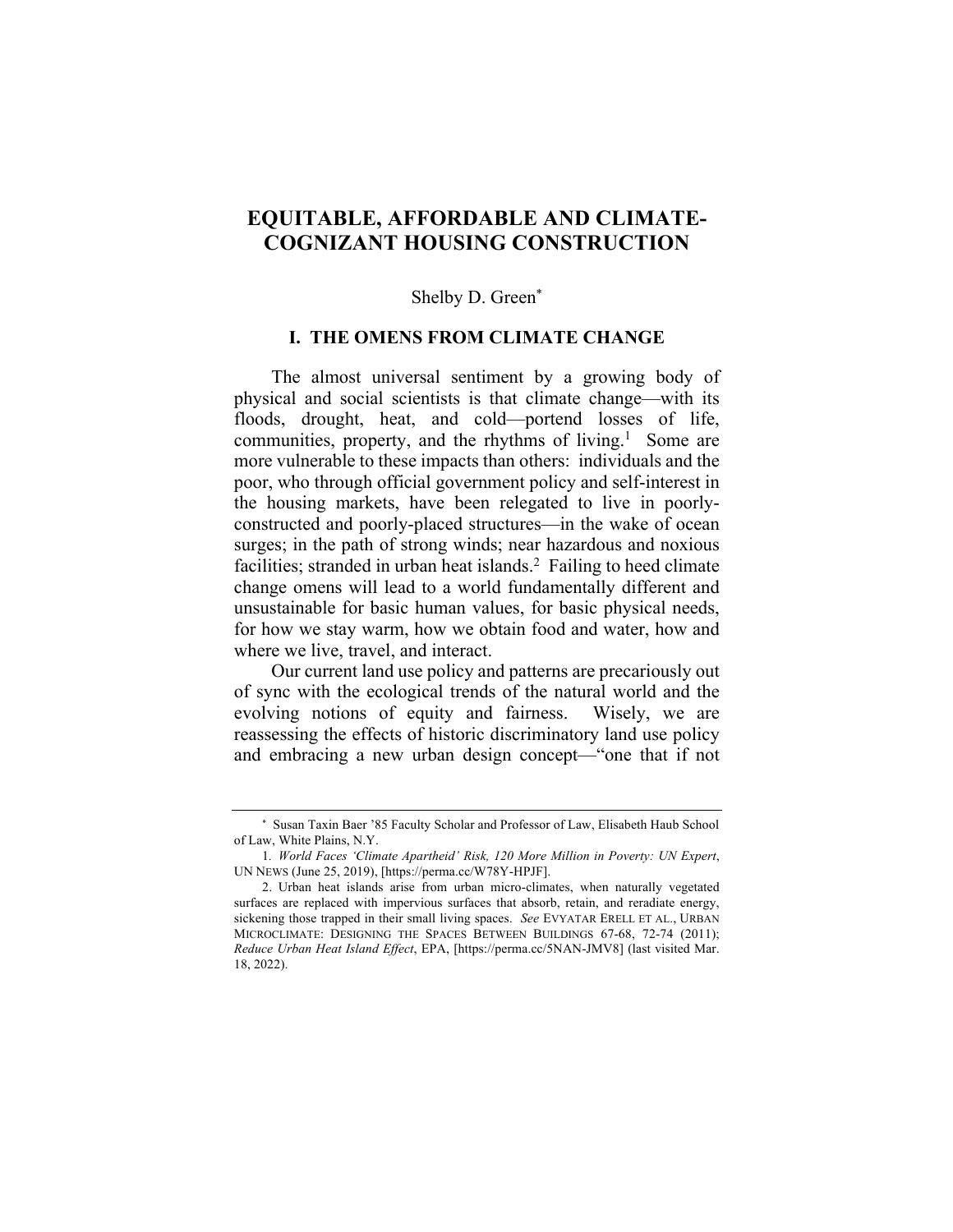## **EQUITABLE, AFFORDABLE AND CLIMATE-COGNIZANT HOUSING CONSTRUCTION**

#### Shelby D. Green\*

### **I. THE OMENS FROM CLIMATE CHANGE**

The almost universal sentiment by a growing body of physical and social scientists is that climate change—with its floods, drought, heat, and cold—portend losses of life, communities, property, and the rhythms of living. $<sup>1</sup>$  Some are</sup> more vulnerable to these impacts than others: individuals and the poor, who through official government policy and self-interest in the housing markets, have been relegated to live in poorlyconstructed and poorly-placed structures—in the wake of ocean surges; in the path of strong winds; near hazardous and noxious facilities; stranded in urban heat islands. $2$  Failing to heed climate change omens will lead to a world fundamentally different and unsustainable for basic human values, for basic physical needs, for how we stay warm, how we obtain food and water, how and where we live, travel, and interact.

Our current land use policy and patterns are precariously out of sync with the ecological trends of the natural world and the evolving notions of equity and fairness. Wisely, we are reassessing the effects of historic discriminatory land use policy and embracing a new urban design concept—"one that if not

<sup>\*</sup> Susan Taxin Baer '85 Faculty Scholar and Professor of Law, Elisabeth Haub School of Law, White Plains, N.Y.

<sup>1</sup>*. World Faces 'Climate Apartheid' Risk, 120 More Million in Poverty: UN Expert*, UN NEWS (June 25, 2019), [https://perma.cc/W78Y-HPJF].

<sup>2.</sup> Urban heat islands arise from urban micro-climates, when naturally vegetated surfaces are replaced with impervious surfaces that absorb, retain, and reradiate energy, sickening those trapped in their small living spaces. *See* EVYATAR ERELL ET AL., URBAN MICROCLIMATE: DESIGNING THE SPACES BETWEEN BUILDINGS 67-68, 72-74 (2011); *Reduce Urban Heat Island Effect*, EPA, [https://perma.cc/5NAN-JMV8] (last visited Mar. 18, 2022).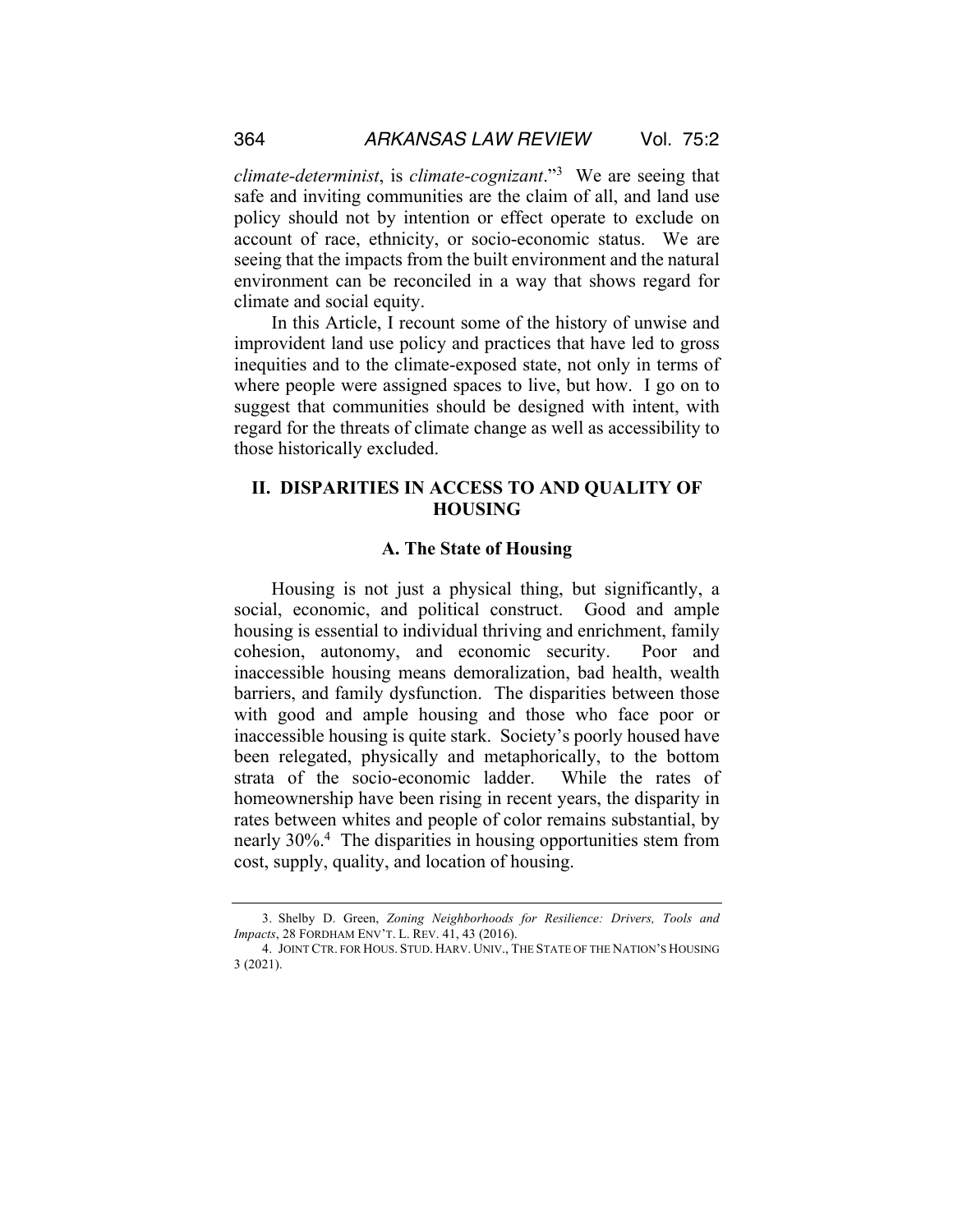*climate-determinist*, is *climate-cognizant*."3 We are seeing that safe and inviting communities are the claim of all, and land use policy should not by intention or effect operate to exclude on account of race, ethnicity, or socio-economic status. We are seeing that the impacts from the built environment and the natural environment can be reconciled in a way that shows regard for climate and social equity.

In this Article, I recount some of the history of unwise and improvident land use policy and practices that have led to gross inequities and to the climate-exposed state, not only in terms of where people were assigned spaces to live, but how. I go on to suggest that communities should be designed with intent, with regard for the threats of climate change as well as accessibility to those historically excluded.

## **II. DISPARITIES IN ACCESS TO AND QUALITY OF HOUSING**

#### **A. The State of Housing**

Housing is not just a physical thing, but significantly, a social, economic, and political construct. Good and ample housing is essential to individual thriving and enrichment, family cohesion, autonomy, and economic security. Poor and inaccessible housing means demoralization, bad health, wealth barriers, and family dysfunction. The disparities between those with good and ample housing and those who face poor or inaccessible housing is quite stark. Society's poorly housed have been relegated, physically and metaphorically, to the bottom strata of the socio-economic ladder. While the rates of homeownership have been rising in recent years, the disparity in rates between whites and people of color remains substantial, by nearly 30%.4 The disparities in housing opportunities stem from cost, supply, quality, and location of housing.

<sup>3.</sup> Shelby D. Green, *Zoning Neighborhoods for Resilience: Drivers, Tools and Impacts*, 28 FORDHAM ENV'T. L. REV. 41, 43 (2016).

<sup>4.</sup> JOINT CTR. FOR HOUS. STUD. HARV. UNIV., THE STATE OF THE NATION'S HOUSING 3 (2021).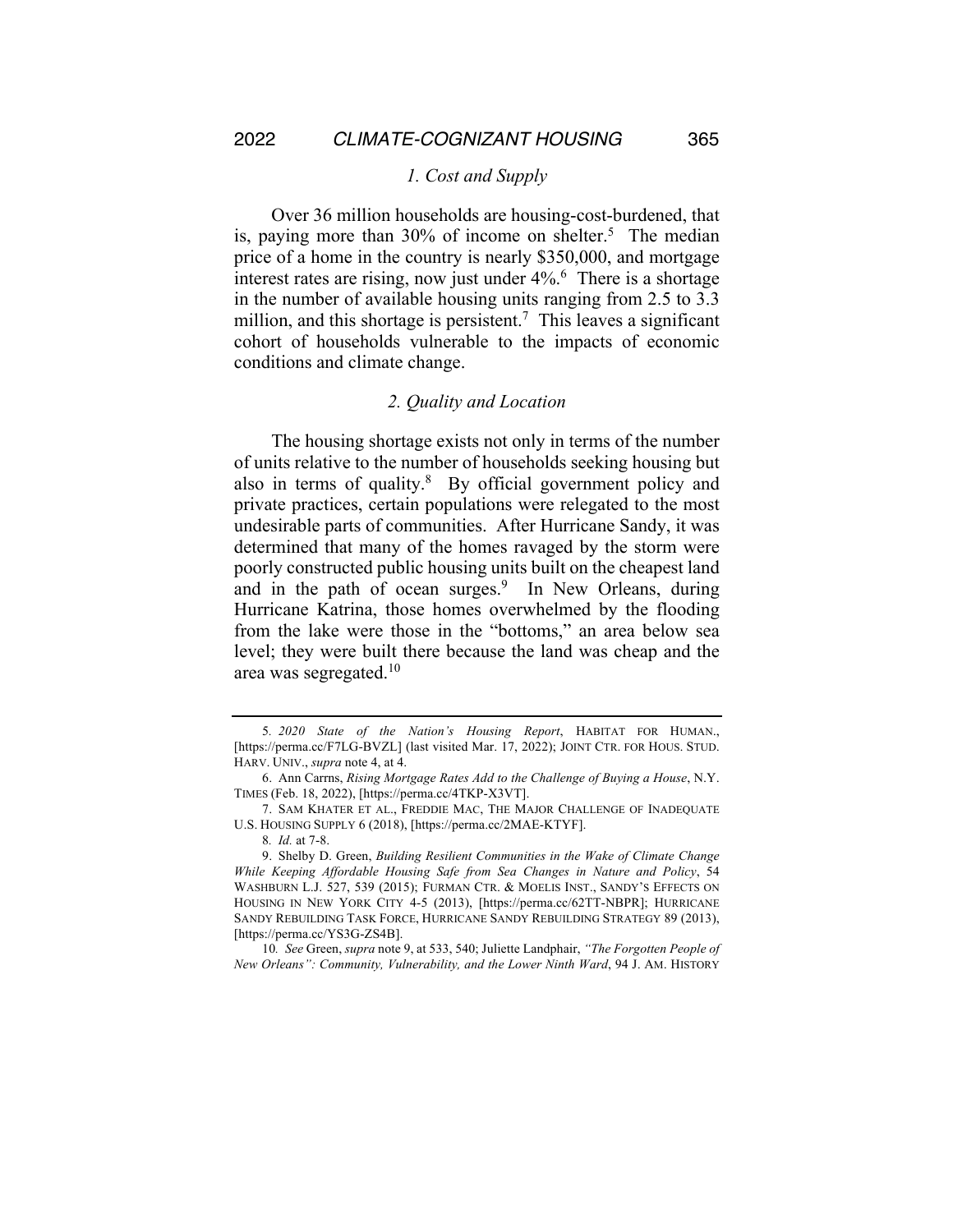#### *1. Cost and Supply*

Over 36 million households are housing-cost-burdened, that is, paying more than  $30\%$  of income on shelter.<sup>5</sup> The median price of a home in the country is nearly \$350,000, and mortgage interest rates are rising, now just under 4%.<sup>6</sup> There is a shortage in the number of available housing units ranging from 2.5 to 3.3 million, and this shortage is persistent.<sup>7</sup> This leaves a significant cohort of households vulnerable to the impacts of economic conditions and climate change.

#### *2. Quality and Location*

The housing shortage exists not only in terms of the number of units relative to the number of households seeking housing but also in terms of quality.<sup>8</sup> By official government policy and private practices, certain populations were relegated to the most undesirable parts of communities. After Hurricane Sandy, it was determined that many of the homes ravaged by the storm were poorly constructed public housing units built on the cheapest land and in the path of ocean surges.<sup>9</sup> In New Orleans, during Hurricane Katrina, those homes overwhelmed by the flooding from the lake were those in the "bottoms," an area below sea level; they were built there because the land was cheap and the area was segregated.10

<sup>5</sup>*. 2020 State of the Nation's Housing Report*, HABITAT FOR HUMAN., [https://perma.cc/F7LG-BVZL] (last visited Mar. 17, 2022); JOINT CTR. FOR HOUS. STUD. HARV. UNIV., *supra* note 4, at 4.

<sup>6.</sup> Ann Carrns, *Rising Mortgage Rates Add to the Challenge of Buying a House*, N.Y. TIMES (Feb. 18, 2022), [https://perma.cc/4TKP-X3VT].

<sup>7.</sup> SAM KHATER ET AL., FREDDIE MAC, THE MAJOR CHALLENGE OF INADEQUATE U.S. HOUSING SUPPLY 6 (2018), [https://perma.cc/2MAE-KTYF].

<sup>8</sup>*. Id.* at 7-8.

<sup>9.</sup> Shelby D. Green, *Building Resilient Communities in the Wake of Climate Change While Keeping Affordable Housing Safe from Sea Changes in Nature and Policy*, 54 WASHBURN L.J. 527, 539 (2015); FURMAN CTR. & MOELIS INST., SANDY'S EFFECTS ON HOUSING IN NEW YORK CITY 4-5 (2013), [https://perma.cc/62TT-NBPR]; HURRICANE SANDY REBUILDING TASK FORCE, HURRICANE SANDY REBUILDING STRATEGY 89 (2013), [https://perma.cc/YS3G-ZS4B].

<sup>10</sup>*. See* Green, *supra* note 9, at 533, 540; Juliette Landphair, *"The Forgotten People of New Orleans": Community, Vulnerability, and the Lower Ninth Ward*, 94 J. AM. HISTORY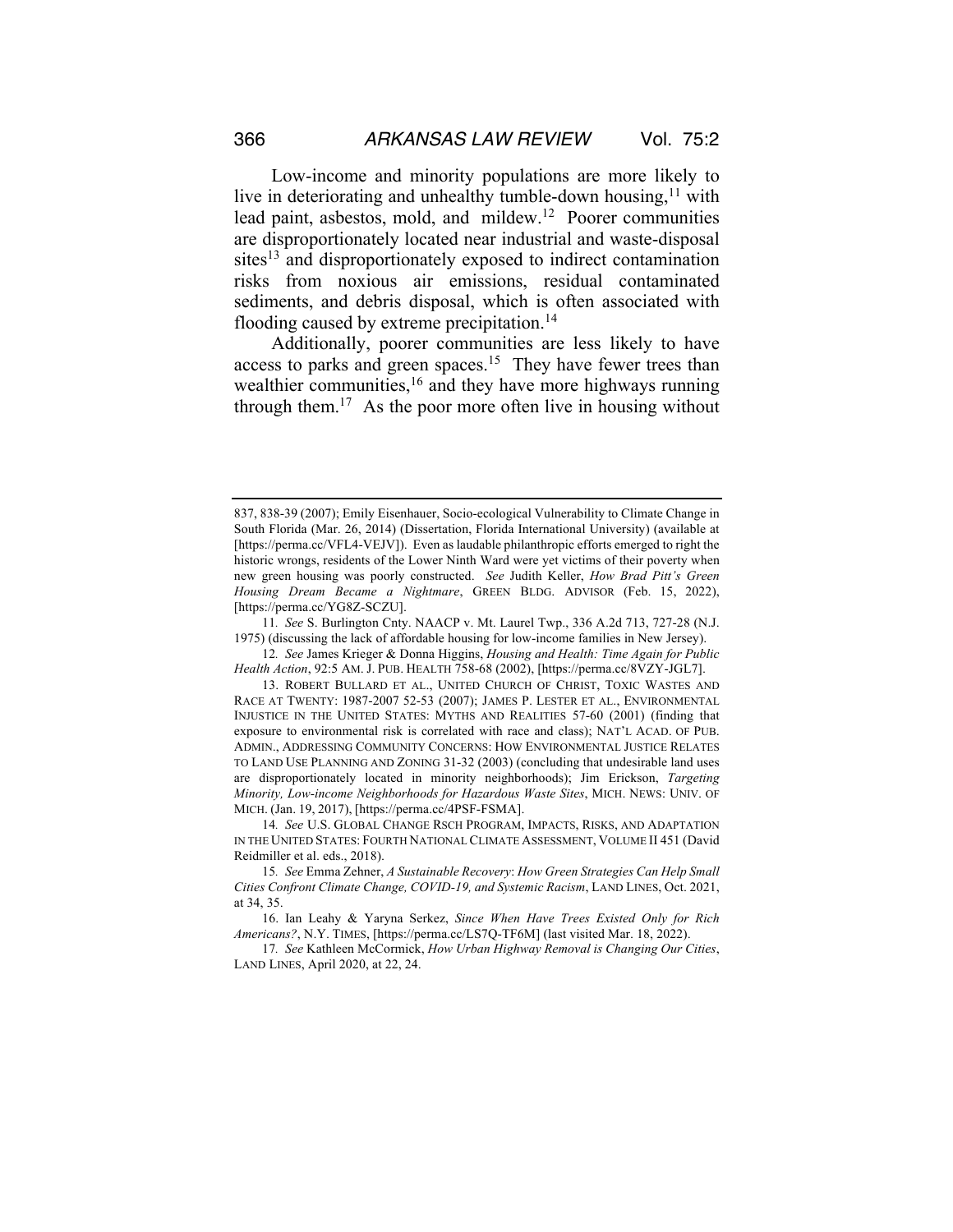Low-income and minority populations are more likely to live in deteriorating and unhealthy tumble-down housing, $11$  with lead paint, asbestos, mold, and mildew.12 Poorer communities are disproportionately located near industrial and waste-disposal sites<sup>13</sup> and disproportionately exposed to indirect contamination risks from noxious air emissions, residual contaminated sediments, and debris disposal, which is often associated with flooding caused by extreme precipitation.<sup>14</sup>

Additionally, poorer communities are less likely to have access to parks and green spaces.<sup>15</sup> They have fewer trees than wealthier communities,<sup>16</sup> and they have more highways running through them.<sup>17</sup> As the poor more often live in housing without

11*. See* S. Burlington Cnty. NAACP v. Mt. Laurel Twp., 336 A.2d 713, 727-28 (N.J. 1975) (discussing the lack of affordable housing for low-income families in New Jersey).

12*. See* James Krieger & Donna Higgins, *Housing and Health: Time Again for Public Health Action*, 92:5 AM. J. PUB. HEALTH 758-68 (2002), [https://perma.cc/8VZY-JGL7].

<sup>837, 838-39 (2007);</sup> Emily Eisenhauer, Socio-ecological Vulnerability to Climate Change in South Florida (Mar. 26, 2014) (Dissertation, Florida International University) (available at [https://perma.cc/VFL4-VEJV]). Even as laudable philanthropic efforts emerged to right the historic wrongs, residents of the Lower Ninth Ward were yet victims of their poverty when new green housing was poorly constructed. *See* Judith Keller, *How Brad Pitt's Green Housing Dream Became a Nightmare*, GREEN BLDG. ADVISOR (Feb. 15, 2022), [https://perma.cc/YG8Z-SCZU].

<sup>13.</sup> ROBERT BULLARD ET AL., UNITED CHURCH OF CHRIST, TOXIC WASTES AND RACE AT TWENTY: 1987-2007 52-53 (2007); JAMES P. LESTER ET AL., ENVIRONMENTAL INJUSTICE IN THE UNITED STATES: MYTHS AND REALITIES 57-60 (2001) (finding that exposure to environmental risk is correlated with race and class); NAT'L ACAD. OF PUB. ADMIN., ADDRESSING COMMUNITY CONCERNS: HOW ENVIRONMENTAL JUSTICE RELATES TO LAND USE PLANNING AND ZONING 31-32 (2003) (concluding that undesirable land uses are disproportionately located in minority neighborhoods); Jim Erickson, *Targeting Minority, Low-income Neighborhoods for Hazardous Waste Sites*, MICH. NEWS: UNIV. OF MICH. (Jan. 19, 2017), [https://perma.cc/4PSF-FSMA].

<sup>14</sup>*. See* U.S. GLOBAL CHANGE RSCH PROGRAM, IMPACTS, RISKS, AND ADAPTATION IN THE UNITED STATES: FOURTH NATIONAL CLIMATE ASSESSMENT, VOLUME II 451 (David Reidmiller et al. eds., 2018).

<sup>15</sup>*. See* Emma Zehner, *A Sustainable Recovery*: *How Green Strategies Can Help Small Cities Confront Climate Change, COVID-19, and Systemic Racism*, LAND LINES, Oct. 2021, at 34, 35.

<sup>16.</sup> Ian Leahy & Yaryna Serkez, *Since When Have Trees Existed Only for Rich Americans?*, N.Y. TIMES, [https://perma.cc/LS7Q-TF6M] (last visited Mar. 18, 2022).

<sup>17</sup>*. See* Kathleen McCormick, *How Urban Highway Removal is Changing Our Cities*, LAND LINES, April 2020, at 22, 24.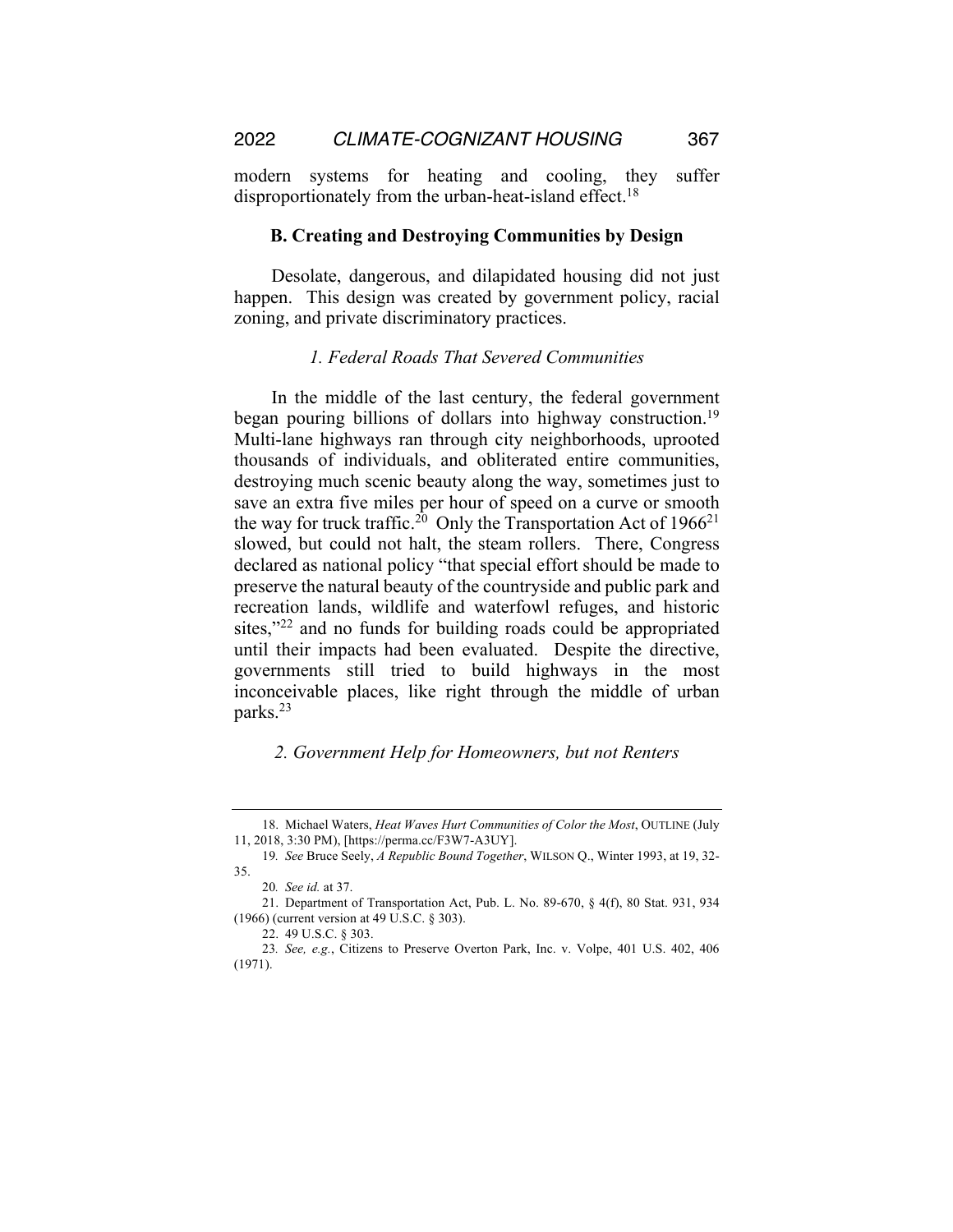modern systems for heating and cooling, they suffer disproportionately from the urban-heat-island effect.<sup>18</sup>

#### **B. Creating and Destroying Communities by Design**

Desolate, dangerous, and dilapidated housing did not just happen. This design was created by government policy, racial zoning, and private discriminatory practices.

#### *1. Federal Roads That Severed Communities*

In the middle of the last century, the federal government began pouring billions of dollars into highway construction.<sup>19</sup> Multi-lane highways ran through city neighborhoods, uprooted thousands of individuals, and obliterated entire communities, destroying much scenic beauty along the way, sometimes just to save an extra five miles per hour of speed on a curve or smooth the way for truck traffic.<sup>20</sup> Only the Transportation Act of  $1966^{21}$ slowed, but could not halt, the steam rollers. There, Congress declared as national policy "that special effort should be made to preserve the natural beauty of the countryside and public park and recreation lands, wildlife and waterfowl refuges, and historic sites,"<sup>22</sup> and no funds for building roads could be appropriated until their impacts had been evaluated. Despite the directive, governments still tried to build highways in the most inconceivable places, like right through the middle of urban parks.23

## *2. Government Help for Homeowners, but not Renters*

<sup>18.</sup> Michael Waters, *Heat Waves Hurt Communities of Color the Most*, OUTLINE (July 11, 2018, 3:30 PM), [https://perma.cc/F3W7-A3UY].

<sup>19</sup>*. See* Bruce Seely, *A Republic Bound Together*, WILSON Q., Winter 1993, at 19, 32- 35.

<sup>20</sup>*. See id.* at 37.

<sup>21.</sup> Department of Transportation Act, Pub. L. No. 89-670, § 4(f), 80 Stat. 931, 934 (1966) (current version at 49 U.S.C. § 303).

<sup>22.</sup> 49 U.S.C. § 303.

<sup>23</sup>*. See, e.g.*, Citizens to Preserve Overton Park, Inc. v. Volpe, 401 U.S. 402, 406 (1971).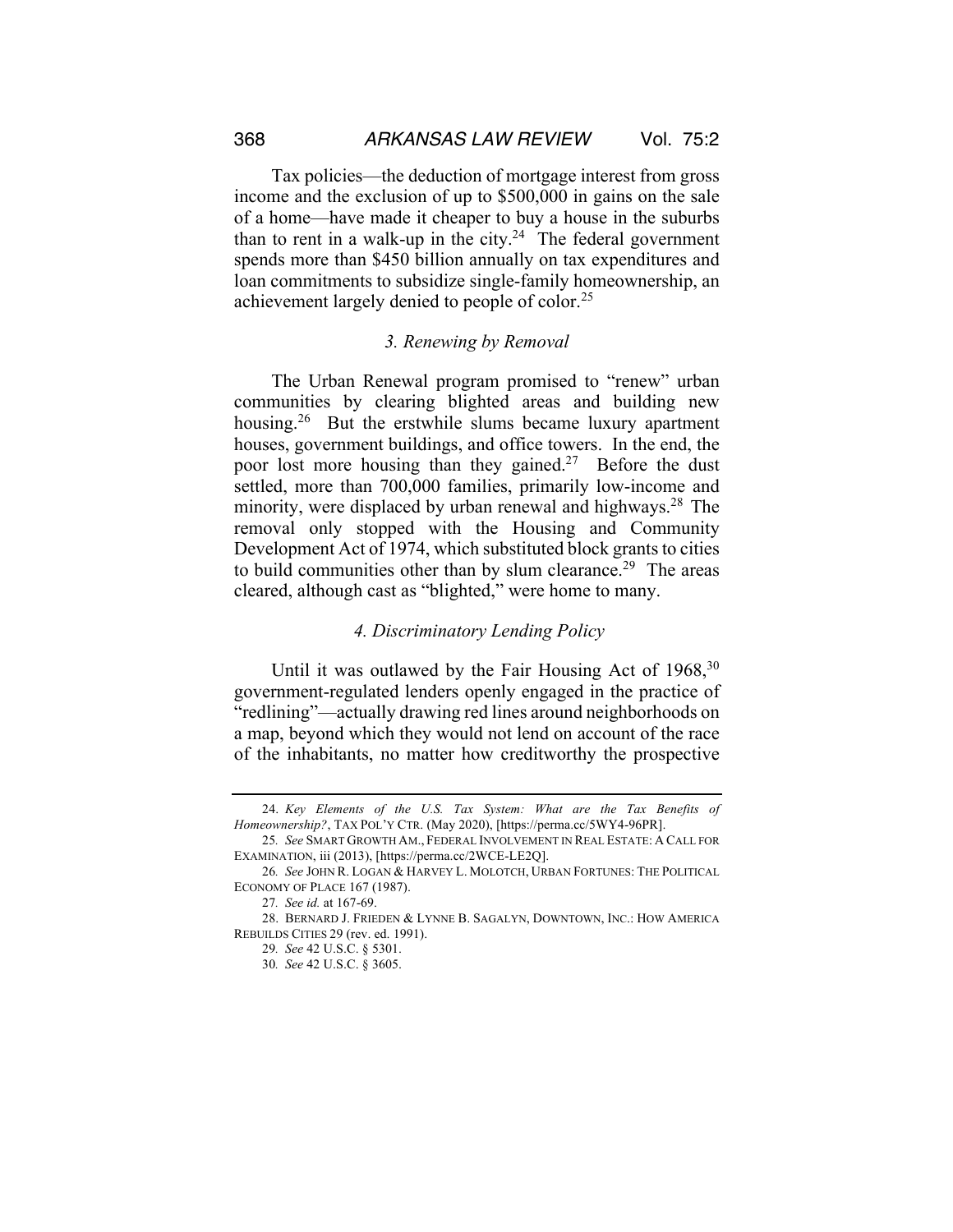Tax policies—the deduction of mortgage interest from gross income and the exclusion of up to \$500,000 in gains on the sale of a home—have made it cheaper to buy a house in the suburbs than to rent in a walk-up in the city.<sup>24</sup> The federal government spends more than \$450 billion annually on tax expenditures and loan commitments to subsidize single-family homeownership, an achievement largely denied to people of color.25

## *3. Renewing by Removal*

The Urban Renewal program promised to "renew" urban communities by clearing blighted areas and building new housing.<sup>26</sup> But the erstwhile slums became luxury apartment houses, government buildings, and office towers. In the end, the poor lost more housing than they gained.<sup>27</sup> Before the dust settled, more than 700,000 families, primarily low-income and minority, were displaced by urban renewal and highways.<sup>28</sup> The removal only stopped with the Housing and Community Development Act of 1974, which substituted block grants to cities to build communities other than by slum clearance.<sup>29</sup> The areas cleared, although cast as "blighted," were home to many.

#### *4. Discriminatory Lending Policy*

Until it was outlawed by the Fair Housing Act of  $1968$ ,  $30$ government-regulated lenders openly engaged in the practice of "redlining"—actually drawing red lines around neighborhoods on a map, beyond which they would not lend on account of the race of the inhabitants, no matter how creditworthy the prospective

<sup>24.</sup> *Key Elements of the U.S. Tax System: What are the Tax Benefits of Homeownership?*, TAX POL'Y CTR. (May 2020), [https://perma.cc/5WY4-96PR].

<sup>25</sup>*. See* SMART GROWTH AM., FEDERAL INVOLVEMENT IN REAL ESTATE: A CALL FOR EXAMINATION, iii (2013), [https://perma.cc/2WCE-LE2Q].

<sup>26</sup>*. See* JOHN R. LOGAN & HARVEY L. MOLOTCH, URBAN FORTUNES: THE POLITICAL ECONOMY OF PLACE 167 (1987).

<sup>27</sup>*. See id.* at 167-69.

<sup>28.</sup> BERNARD J. FRIEDEN & LYNNE B. SAGALYN, DOWNTOWN, INC.: HOW AMERICA REBUILDS CITIES 29 (rev. ed. 1991).

<sup>29</sup>*. See* 42 U.S.C. § 5301.

<sup>30</sup>*. See* 42 U.S.C. § 3605.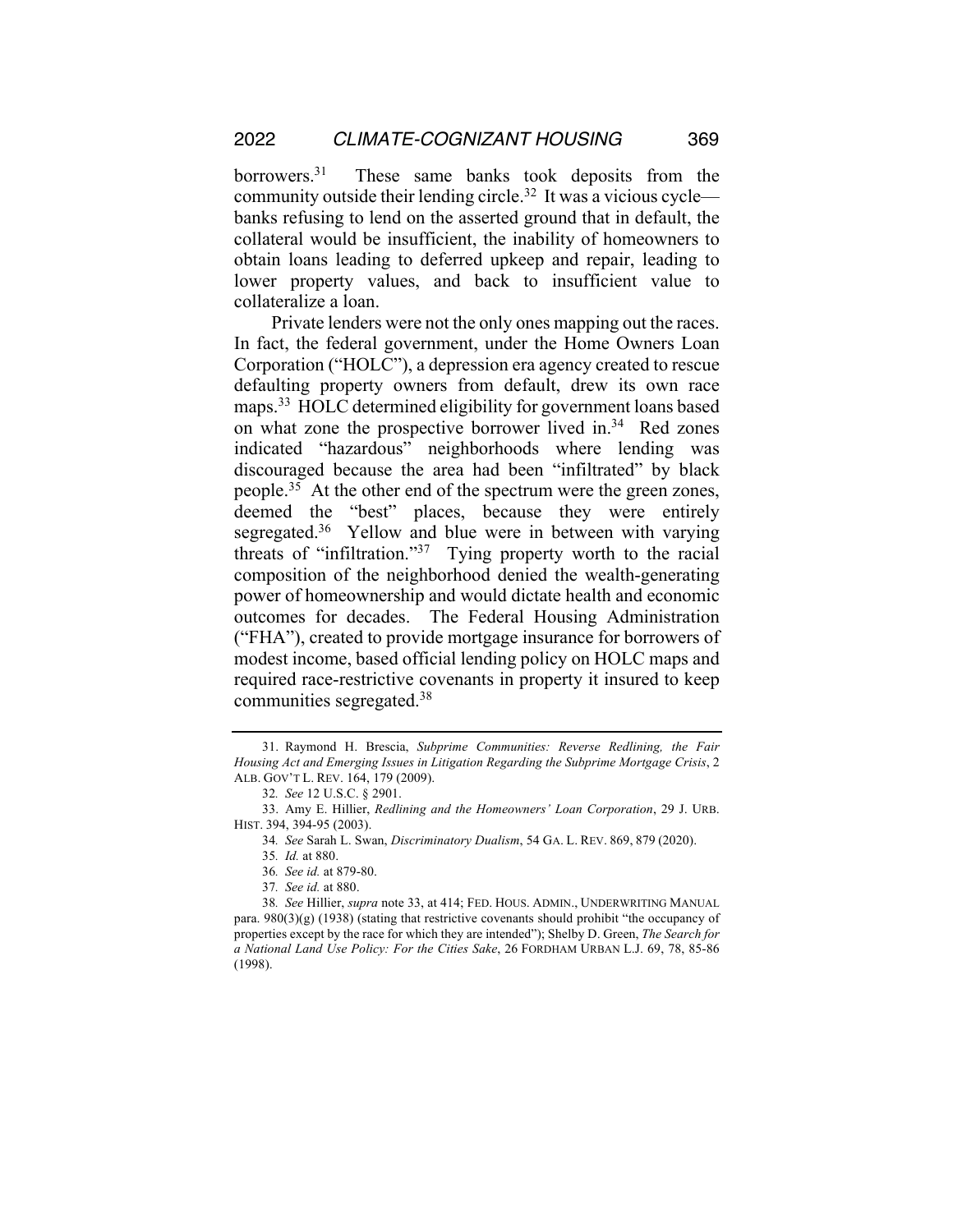borrowers.31 These same banks took deposits from the community outside their lending circle.32 It was a vicious cycle banks refusing to lend on the asserted ground that in default, the collateral would be insufficient, the inability of homeowners to obtain loans leading to deferred upkeep and repair, leading to lower property values, and back to insufficient value to collateralize a loan.

Private lenders were not the only ones mapping out the races. In fact, the federal government, under the Home Owners Loan Corporation ("HOLC"), a depression era agency created to rescue defaulting property owners from default, drew its own race maps.<sup>33</sup> HOLC determined eligibility for government loans based on what zone the prospective borrower lived in. $34$  Red zones indicated "hazardous" neighborhoods where lending was discouraged because the area had been "infiltrated" by black people.35 At the other end of the spectrum were the green zones, deemed the "best" places, because they were entirely segregated.<sup>36</sup> Yellow and blue were in between with varying threats of "infiltration."37 Tying property worth to the racial composition of the neighborhood denied the wealth-generating power of homeownership and would dictate health and economic outcomes for decades. The Federal Housing Administration ("FHA"), created to provide mortgage insurance for borrowers of modest income, based official lending policy on HOLC maps and required race-restrictive covenants in property it insured to keep communities segregated.38

<sup>31.</sup> Raymond H. Brescia, *Subprime Communities: Reverse Redlining, the Fair Housing Act and Emerging Issues in Litigation Regarding the Subprime Mortgage Crisis*, 2 ALB. GOV'T L. REV. 164, 179 (2009).

<sup>32</sup>*. See* 12 U.S.C. § 2901.

<sup>33.</sup> Amy E. Hillier, *Redlining and the Homeowners' Loan Corporation*, 29 J. URB. HIST. 394, 394-95 (2003).

<sup>34</sup>*. See* Sarah L. Swan, *Discriminatory Dualism*, 54 GA. L. REV. 869, 879 (2020).

<sup>35</sup>*. Id.* at 880.

<sup>36</sup>*. See id.* at 879-80.

<sup>37</sup>*. See id.* at 880.

<sup>38</sup>*. See* Hillier, *supra* note 33, at 414; FED. HOUS. ADMIN., UNDERWRITING MANUAL para.  $980(3)(g)$  (1938) (stating that restrictive covenants should prohibit "the occupancy of properties except by the race for which they are intended"); Shelby D. Green, *The Search for a National Land Use Policy: For the Cities Sake*, 26 FORDHAM URBAN L.J. 69, 78, 85-86 (1998).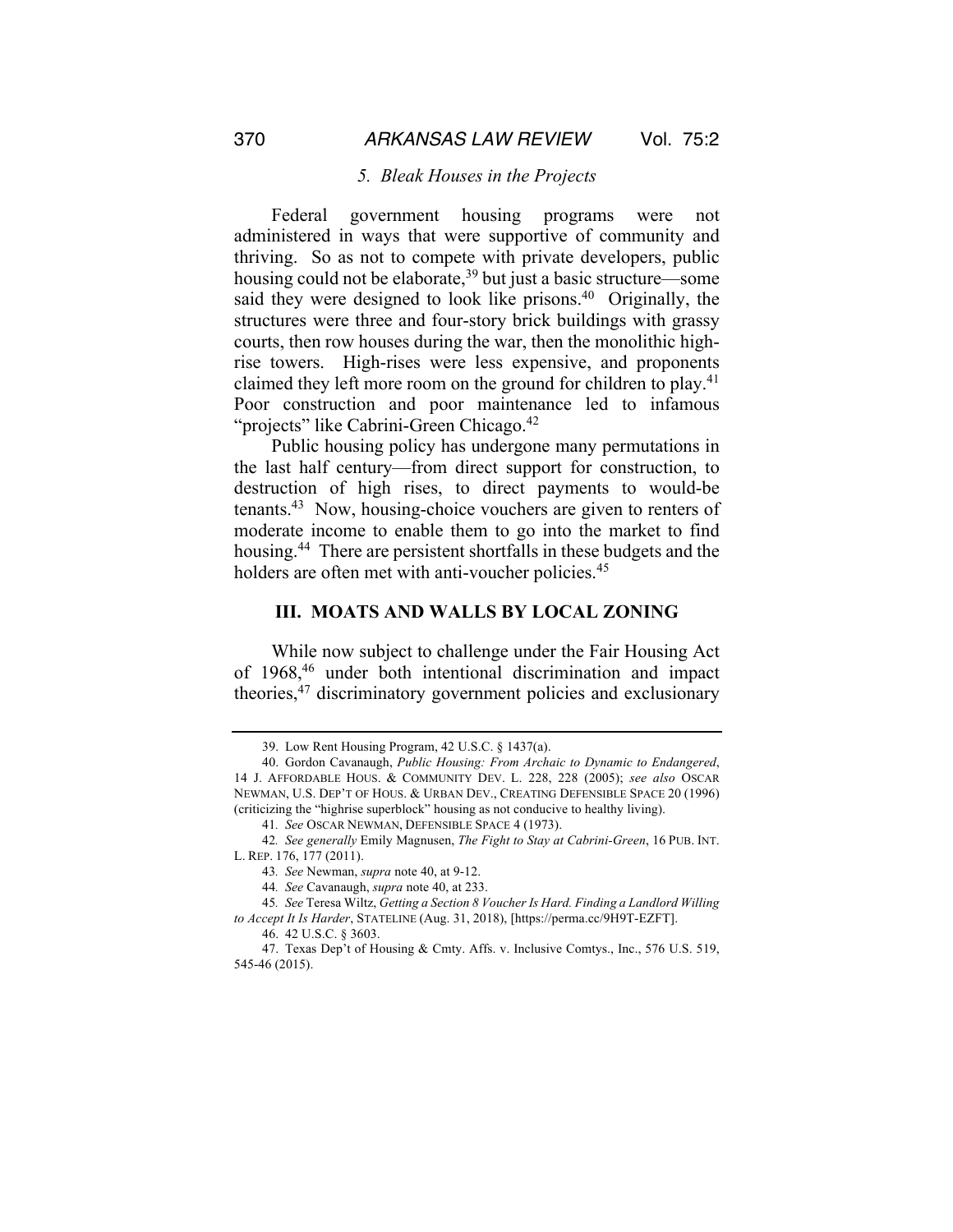#### *5. Bleak Houses in the Projects*

Federal government housing programs were not administered in ways that were supportive of community and thriving. So as not to compete with private developers, public housing could not be elaborate,<sup>39</sup> but just a basic structure—some said they were designed to look like prisons.<sup>40</sup> Originally, the structures were three and four-story brick buildings with grassy courts, then row houses during the war, then the monolithic highrise towers. High-rises were less expensive, and proponents claimed they left more room on the ground for children to play.<sup>41</sup> Poor construction and poor maintenance led to infamous "projects" like Cabrini-Green Chicago.<sup>42</sup>

Public housing policy has undergone many permutations in the last half century—from direct support for construction, to destruction of high rises, to direct payments to would-be tenants.43 Now, housing-choice vouchers are given to renters of moderate income to enable them to go into the market to find housing.<sup>44</sup> There are persistent shortfalls in these budgets and the holders are often met with anti-voucher policies.<sup>45</sup>

#### **III. MOATS AND WALLS BY LOCAL ZONING**

While now subject to challenge under the Fair Housing Act of 1968,46 under both intentional discrimination and impact theories,47 discriminatory government policies and exclusionary

<sup>39.</sup> Low Rent Housing Program, 42 U.S.C. § 1437(a).

<sup>40.</sup> Gordon Cavanaugh, *Public Housing: From Archaic to Dynamic to Endangered*, 14 J. AFFORDABLE HOUS. & COMMUNITY DEV. L. 228, 228 (2005); *see also* OSCAR NEWMAN, U.S. DEP'T OF HOUS. & URBAN DEV., CREATING DEFENSIBLE SPACE 20 (1996) (criticizing the "highrise superblock" housing as not conducive to healthy living).

<sup>41</sup>*. See* OSCAR NEWMAN, DEFENSIBLE SPACE 4 (1973).

<sup>42</sup>*. See generally* Emily Magnusen, *The Fight to Stay at Cabrini-Green*, 16 PUB. INT. L. REP. 176, 177 (2011).

<sup>43</sup>*. See* Newman, *supra* note 40, at 9-12.

<sup>44</sup>*. See* Cavanaugh, *supra* note 40, at 233.

<sup>45</sup>*. See* Teresa Wiltz, *Getting a Section 8 Voucher Is Hard. Finding a Landlord Willing to Accept It Is Harder*, STATELINE (Aug. 31, 2018), [https://perma.cc/9H9T-EZFT].

<sup>46.</sup> 42 U.S.C. § 3603.

<sup>47.</sup> Texas Dep't of Housing & Cmty. Affs. v. Inclusive Comtys., Inc., 576 U.S. 519, 545-46 (2015).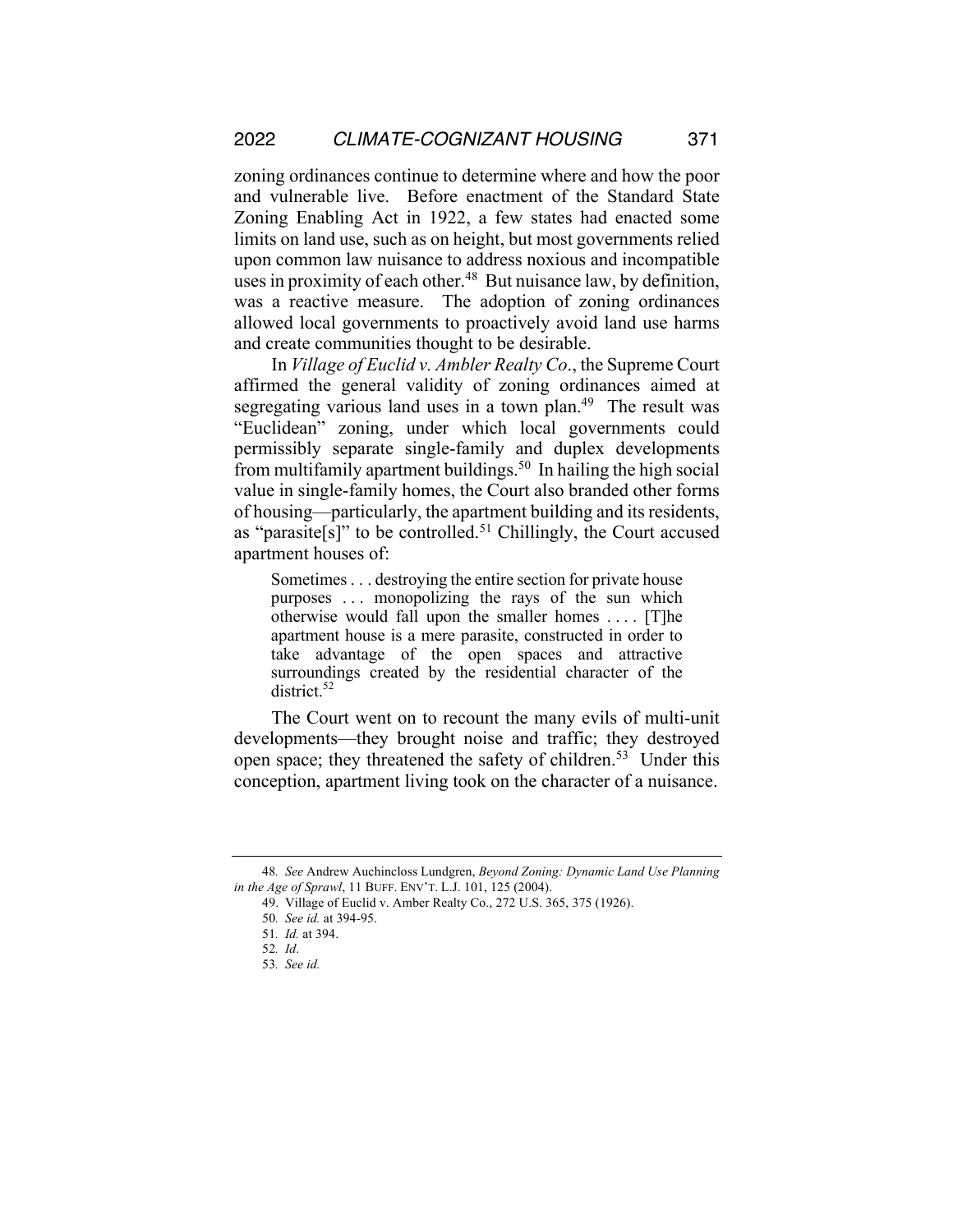zoning ordinances continue to determine where and how the poor and vulnerable live. Before enactment of the Standard State Zoning Enabling Act in 1922, a few states had enacted some limits on land use, such as on height, but most governments relied upon common law nuisance to address noxious and incompatible uses in proximity of each other.<sup>48</sup> But nuisance law, by definition, was a reactive measure. The adoption of zoning ordinances allowed local governments to proactively avoid land use harms and create communities thought to be desirable.

In *Village of Euclid v. Ambler Realty Co*., the Supreme Court affirmed the general validity of zoning ordinances aimed at segregating various land uses in a town plan.<sup>49</sup> The result was "Euclidean" zoning, under which local governments could permissibly separate single-family and duplex developments from multifamily apartment buildings.<sup>50</sup> In hailing the high social value in single-family homes, the Court also branded other forms of housing—particularly, the apartment building and its residents, as "parasite $[s]$ " to be controlled.<sup>51</sup> Chillingly, the Court accused apartment houses of:

Sometimes. . . destroying the entire section for private house purposes . . . monopolizing the rays of the sun which otherwise would fall upon the smaller homes . . . . [T]he apartment house is a mere parasite, constructed in order to take advantage of the open spaces and attractive surroundings created by the residential character of the district.<sup>52</sup>

The Court went on to recount the many evils of multi-unit developments—they brought noise and traffic; they destroyed open space; they threatened the safety of children.<sup>53</sup> Under this conception, apartment living took on the character of a nuisance.

<sup>48</sup>*. See* Andrew Auchincloss Lundgren, *Beyond Zoning: Dynamic Land Use Planning in the Age of Sprawl*, 11 BUFF. ENV'T. L.J. 101, 125 (2004).

<sup>49.</sup> Village of Euclid v. Amber Realty Co., 272 U.S. 365, 375 (1926).

<sup>50</sup>*. See id.* at 394-95.

<sup>51</sup>*. Id.* at 394.

<sup>52</sup>*. Id*.

<sup>53</sup>*. See id.*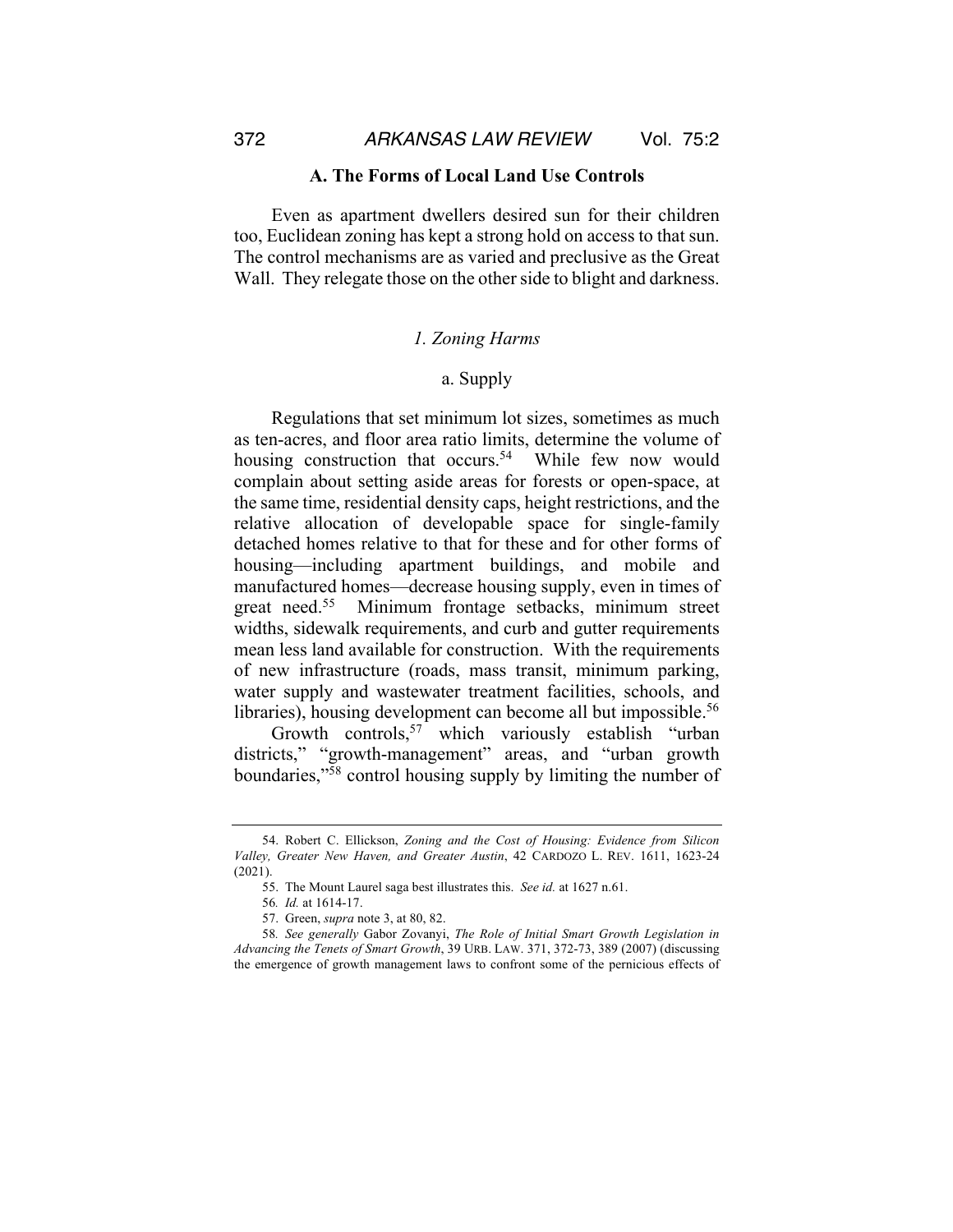372 *ARKANSAS LAW REVIEW* Vol. 75:2

#### **A. The Forms of Local Land Use Controls**

Even as apartment dwellers desired sun for their children too, Euclidean zoning has kept a strong hold on access to that sun. The control mechanisms are as varied and preclusive as the Great Wall. They relegate those on the other side to blight and darkness.

#### *1. Zoning Harms*

## a. Supply

Regulations that set minimum lot sizes, sometimes as much as ten-acres, and floor area ratio limits, determine the volume of housing construction that occurs.<sup>54</sup> While few now would complain about setting aside areas for forests or open-space, at the same time, residential density caps, height restrictions, and the relative allocation of developable space for single-family detached homes relative to that for these and for other forms of housing—including apartment buildings, and mobile and manufactured homes—decrease housing supply, even in times of great need.55 Minimum frontage setbacks, minimum street widths, sidewalk requirements, and curb and gutter requirements mean less land available for construction. With the requirements of new infrastructure (roads, mass transit, minimum parking, water supply and wastewater treatment facilities, schools, and libraries), housing development can become all but impossible.<sup>56</sup>

Growth controls,<sup>57</sup> which variously establish "urban districts," "growth-management" areas, and "urban growth boundaries,"58 control housing supply by limiting the number of

<sup>54.</sup> Robert C. Ellickson, *Zoning and the Cost of Housing: Evidence from Silicon Valley, Greater New Haven, and Greater Austin*, 42 CARDOZO L. REV. 1611, 1623-24 (2021).

<sup>55.</sup> The Mount Laurel saga best illustrates this. *See id.* at 1627 n.61.

<sup>56</sup>*. Id.* at 1614-17.

<sup>57.</sup> Green, *supra* note 3, at 80, 82.

<sup>58</sup>*. See generally* Gabor Zovanyi, *The Role of Initial Smart Growth Legislation in Advancing the Tenets of Smart Growth*, 39 URB. LAW. 371, 372-73, 389 (2007) (discussing the emergence of growth management laws to confront some of the pernicious effects of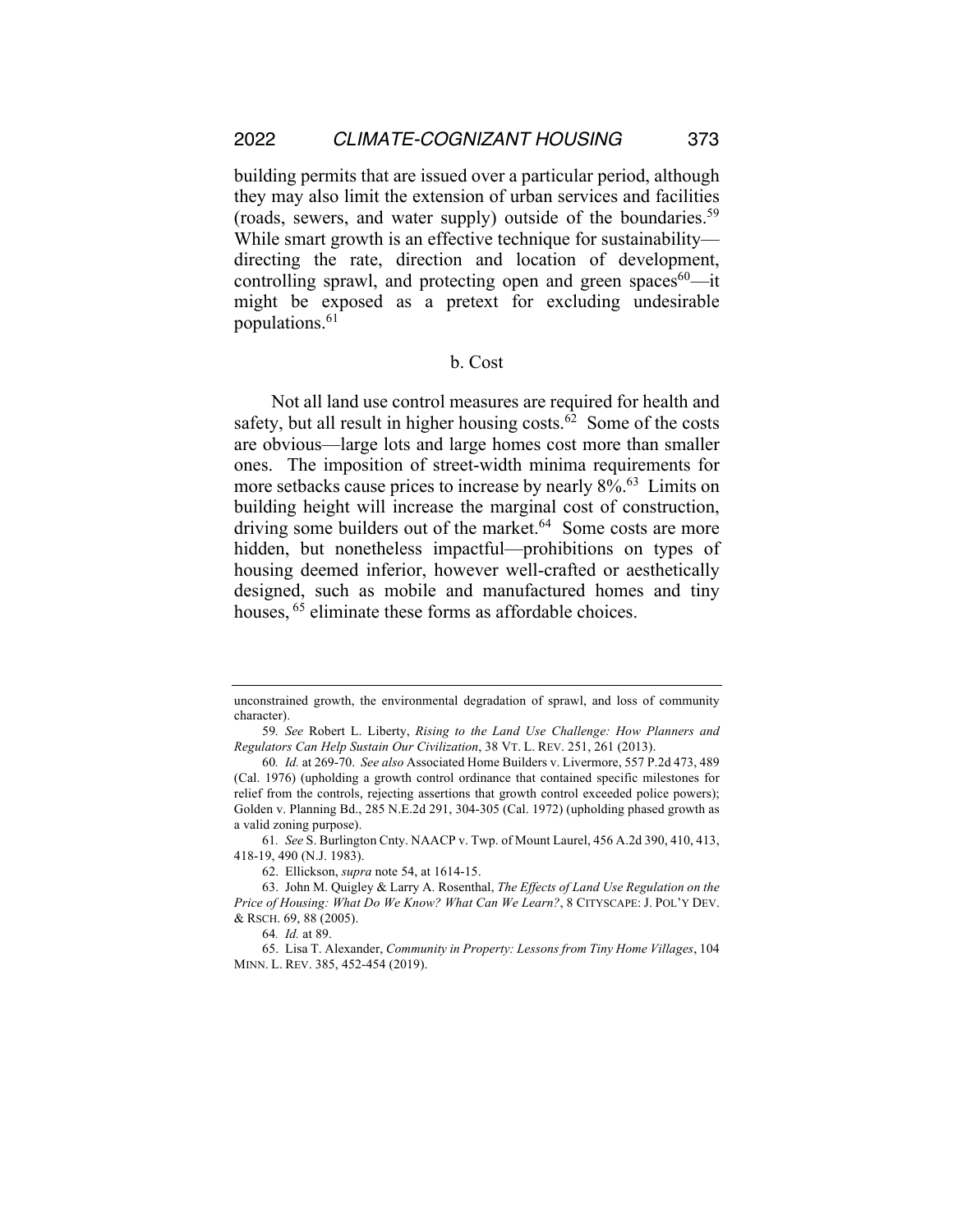building permits that are issued over a particular period, although they may also limit the extension of urban services and facilities (roads, sewers, and water supply) outside of the boundaries. 59 While smart growth is an effective technique for sustainability directing the rate, direction and location of development, controlling sprawl, and protecting open and green spaces $60$ —it might be exposed as a pretext for excluding undesirable populations.<sup>61</sup>

## b. Cost

Not all land use control measures are required for health and safety, but all result in higher housing costs. $62$  Some of the costs are obvious—large lots and large homes cost more than smaller ones. The imposition of street-width minima requirements for more setbacks cause prices to increase by nearly 8%.<sup>63</sup> Limits on building height will increase the marginal cost of construction, driving some builders out of the market.<sup>64</sup> Some costs are more hidden, but nonetheless impactful—prohibitions on types of housing deemed inferior, however well-crafted or aesthetically designed, such as mobile and manufactured homes and tiny houses, <sup>65</sup> eliminate these forms as affordable choices.

unconstrained growth, the environmental degradation of sprawl, and loss of community character).

<sup>59</sup>*. See* Robert L. Liberty, *Rising to the Land Use Challenge: How Planners and Regulators Can Help Sustain Our Civilization*, 38 VT. L. REV. 251, 261 (2013).

<sup>60</sup>*. Id.* at 269-70. *See also* Associated Home Builders v. Livermore, 557 P.2d 473, 489 (Cal. 1976) (upholding a growth control ordinance that contained specific milestones for relief from the controls, rejecting assertions that growth control exceeded police powers); Golden v. Planning Bd., 285 N.E.2d 291, 304-305 (Cal. 1972) (upholding phased growth as a valid zoning purpose).

<sup>61</sup>*. See* S. Burlington Cnty. NAACP v. Twp. of Mount Laurel, 456 A.2d 390, 410, 413, 418-19, 490 (N.J. 1983).

<sup>62.</sup> Ellickson, *supra* note 54, at 1614-15.

<sup>63.</sup> John M. Quigley & Larry A. Rosenthal, *The Effects of Land Use Regulation on the Price of Housing: What Do We Know? What Can We Learn?*, 8 CITYSCAPE: J. POL'Y DEV. & RSCH. 69, 88 (2005).

<sup>64</sup>*. Id.* at 89.

<sup>65.</sup> Lisa T. Alexander, *Community in Property: Lessons from Tiny Home Villages*, 104 MINN. L. REV. 385, 452-454 (2019).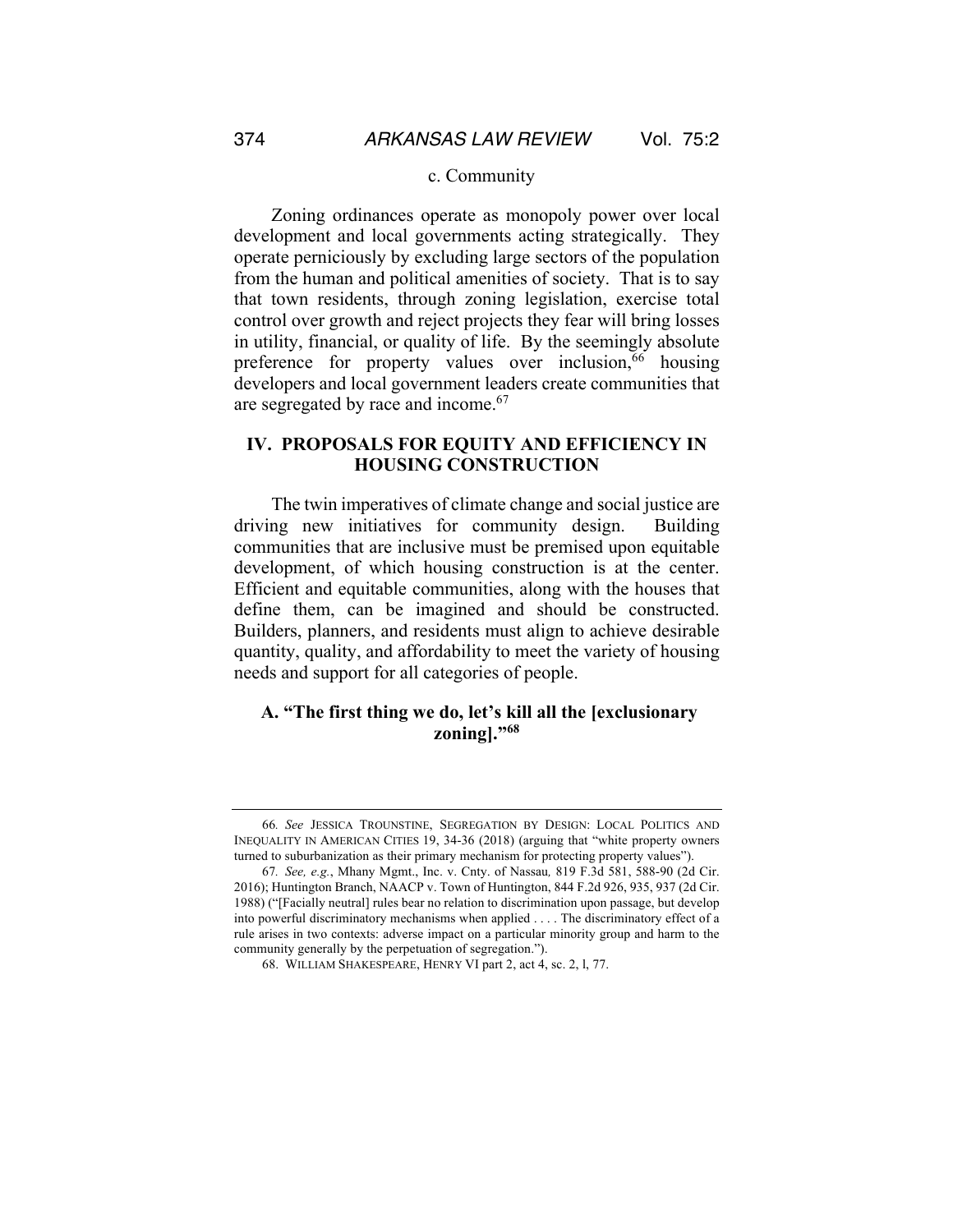#### c. Community

Zoning ordinances operate as monopoly power over local development and local governments acting strategically. They operate perniciously by excluding large sectors of the population from the human and political amenities of society. That is to say that town residents, through zoning legislation, exercise total control over growth and reject projects they fear will bring losses in utility, financial, or quality of life. By the seemingly absolute preference for property values over inclusion,<sup>66</sup> housing developers and local government leaders create communities that are segregated by race and income.<sup>67</sup>

## **IV. PROPOSALS FOR EQUITY AND EFFICIENCY IN HOUSING CONSTRUCTION**

The twin imperatives of climate change and social justice are driving new initiatives for community design. Building communities that are inclusive must be premised upon equitable development, of which housing construction is at the center. Efficient and equitable communities, along with the houses that define them, can be imagined and should be constructed. Builders, planners, and residents must align to achieve desirable quantity, quality, and affordability to meet the variety of housing needs and support for all categories of people.

## **A. "The first thing we do, let's kill all the [exclusionary zoning]."68**

<sup>66</sup>*. See* JESSICA TROUNSTINE, SEGREGATION BY DESIGN: LOCAL POLITICS AND INEQUALITY IN AMERICAN CITIES 19, 34-36 (2018) (arguing that "white property owners turned to suburbanization as their primary mechanism for protecting property values").

<sup>67</sup>*. See, e.g.*, Mhany Mgmt., Inc. v. Cnty. of Nassau*,* 819 F.3d 581, 588-90 (2d Cir. 2016); Huntington Branch, NAACP v. Town of Huntington, 844 F.2d 926, 935, 937 (2d Cir. 1988) ("[Facially neutral] rules bear no relation to discrimination upon passage, but develop into powerful discriminatory mechanisms when applied . . . . The discriminatory effect of a rule arises in two contexts: adverse impact on a particular minority group and harm to the community generally by the perpetuation of segregation.").

<sup>68.</sup> WILLIAM SHAKESPEARE, HENRY VI part 2, act 4, sc. 2, l, 77.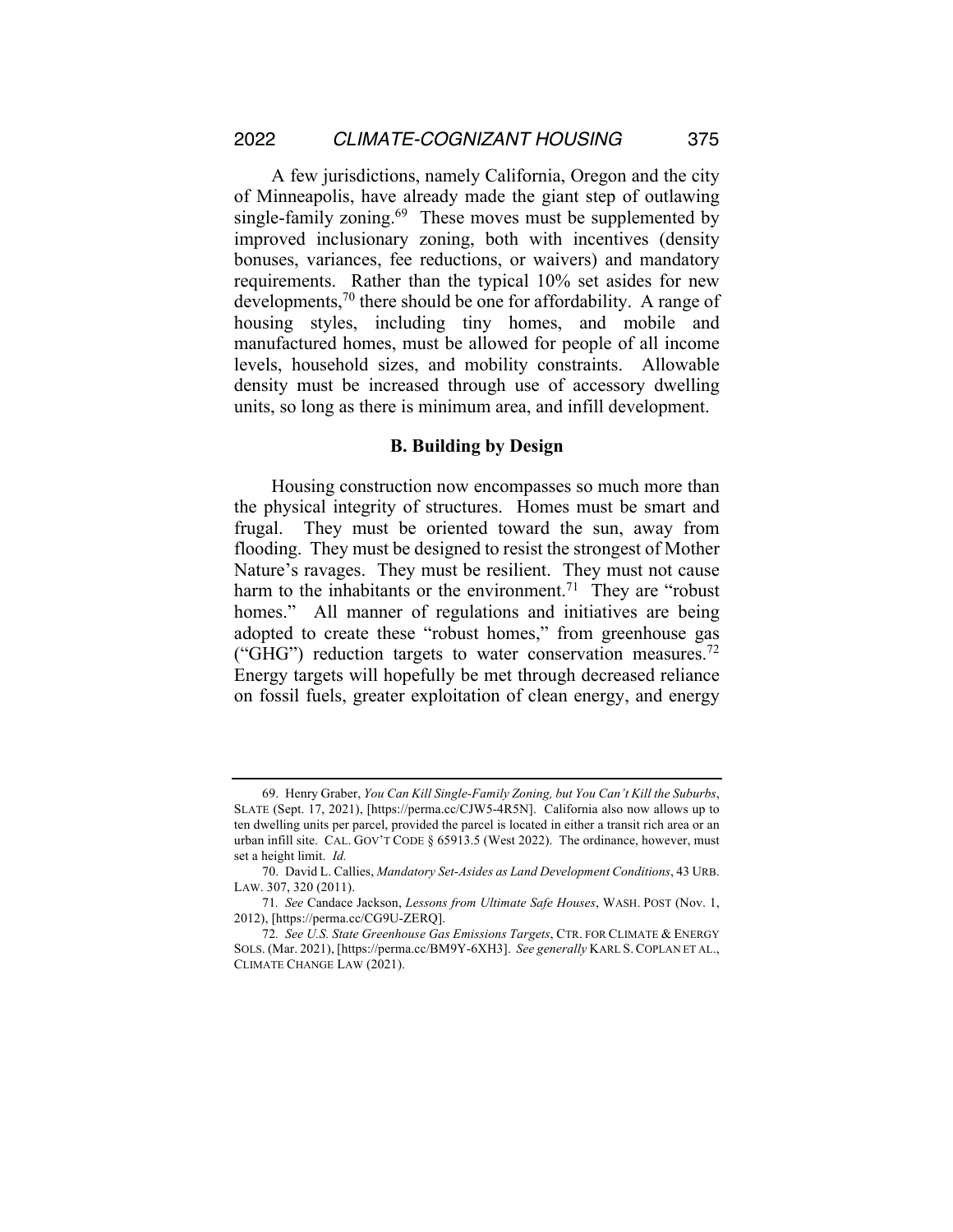A few jurisdictions, namely California, Oregon and the city of Minneapolis, have already made the giant step of outlawing single-family zoning.<sup>69</sup> These moves must be supplemented by improved inclusionary zoning, both with incentives (density bonuses, variances, fee reductions, or waivers) and mandatory requirements. Rather than the typical 10% set asides for new developments,<sup>70</sup> there should be one for affordability. A range of housing styles, including tiny homes, and mobile and manufactured homes, must be allowed for people of all income levels, household sizes, and mobility constraints. Allowable density must be increased through use of accessory dwelling units, so long as there is minimum area, and infill development.

#### **B. Building by Design**

Housing construction now encompasses so much more than the physical integrity of structures. Homes must be smart and frugal. They must be oriented toward the sun, away from flooding. They must be designed to resist the strongest of Mother Nature's ravages. They must be resilient. They must not cause harm to the inhabitants or the environment.<sup>71</sup> They are "robust" homes." All manner of regulations and initiatives are being adopted to create these "robust homes," from greenhouse gas ("GHG") reduction targets to water conservation measures.<sup>72</sup> Energy targets will hopefully be met through decreased reliance on fossil fuels, greater exploitation of clean energy, and energy

<sup>69.</sup> Henry Graber, *You Can Kill Single-Family Zoning, but You Can't Kill the Suburbs*, SLATE (Sept. 17, 2021), [https://perma.cc/CJW5-4R5N]. California also now allows up to ten dwelling units per parcel, provided the parcel is located in either a transit rich area or an urban infill site. CAL. GOV'T CODE § 65913.5 (West 2022). The ordinance, however, must set a height limit. *Id.*

<sup>70.</sup> David L. Callies, *Mandatory Set-Asides as Land Development Conditions*, 43 URB. LAW. 307, 320 (2011).

<sup>71</sup>*. See* Candace Jackson, *Lessons from Ultimate Safe Houses*, WASH. POST (Nov. 1, 2012), [https://perma.cc/CG9U-ZERQ].

<sup>72</sup>*. See U.S. State Greenhouse Gas Emissions Targets*, CTR. FOR CLIMATE & ENERGY SOLS. (Mar. 2021), [https://perma.cc/BM9Y-6XH3]. *See generally* KARL S.COPLAN ET AL., CLIMATE CHANGE LAW (2021).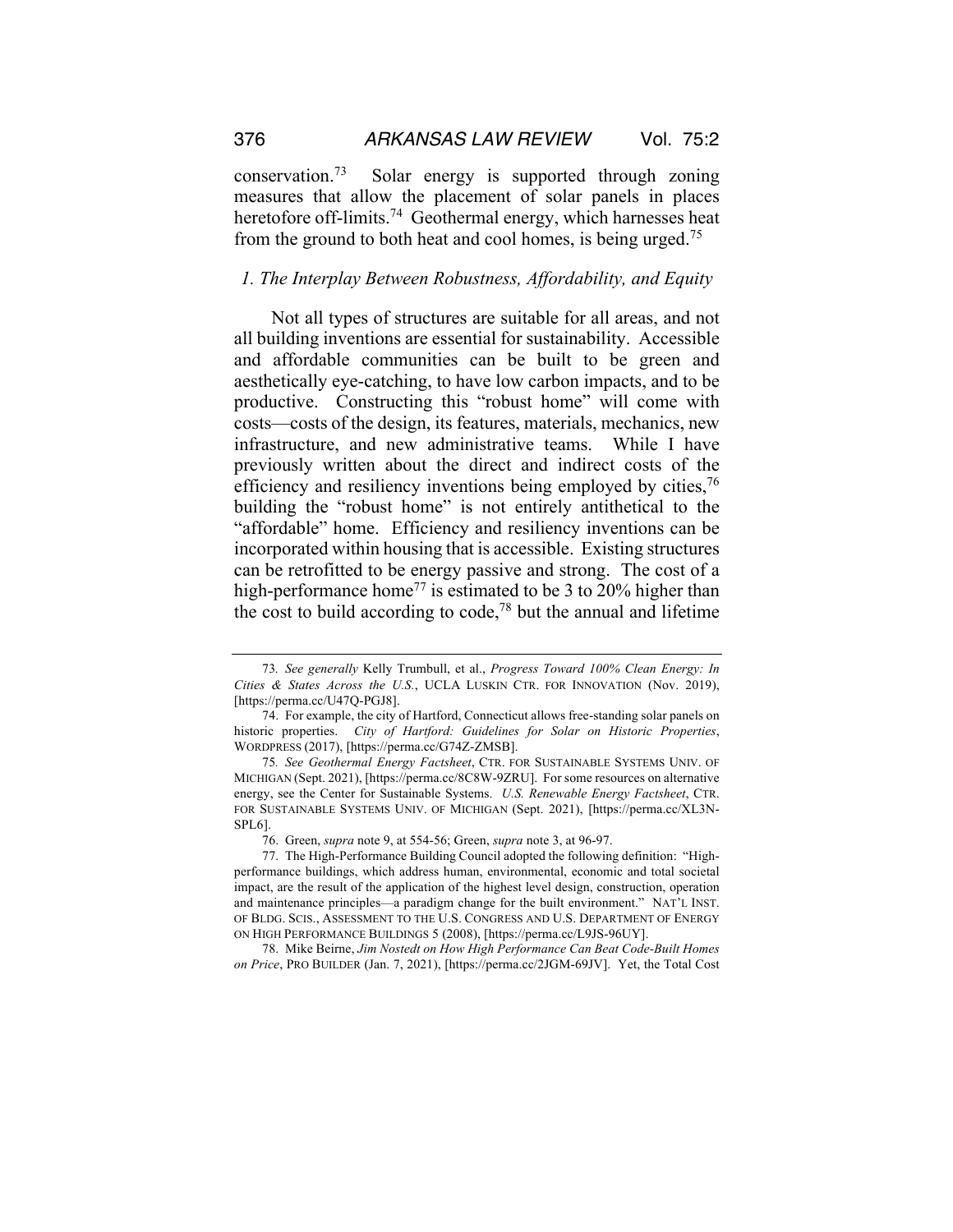conservation.73 Solar energy is supported through zoning measures that allow the placement of solar panels in places heretofore off-limits.<sup>74</sup> Geothermal energy, which harnesses heat from the ground to both heat and cool homes, is being urged.75

#### *1. The Interplay Between Robustness, Affordability, and Equity*

Not all types of structures are suitable for all areas, and not all building inventions are essential for sustainability. Accessible and affordable communities can be built to be green and aesthetically eye-catching, to have low carbon impacts, and to be productive. Constructing this "robust home" will come with costs—costs of the design, its features, materials, mechanics, new infrastructure, and new administrative teams. While I have previously written about the direct and indirect costs of the efficiency and resiliency inventions being employed by cities,<sup>76</sup> building the "robust home" is not entirely antithetical to the "affordable" home. Efficiency and resiliency inventions can be incorporated within housing that is accessible. Existing structures can be retrofitted to be energy passive and strong. The cost of a high-performance home<sup>77</sup> is estimated to be 3 to 20% higher than the cost to build according to code,<sup>78</sup> but the annual and lifetime

<sup>73</sup>*. See generally* Kelly Trumbull, et al., *Progress Toward 100% Clean Energy: In Cities & States Across the U.S.*, UCLA LUSKIN CTR. FOR INNOVATION (Nov. 2019), [https://perma.cc/U47Q-PGJ8].

<sup>74.</sup> For example, the city of Hartford, Connecticut allows free-standing solar panels on historic properties. *City of Hartford: Guidelines for Solar on Historic Properties*, WORDPRESS (2017), [https://perma.cc/G74Z-ZMSB].

<sup>75</sup>*. See Geothermal Energy Factsheet*, CTR. FOR SUSTAINABLE SYSTEMS UNIV. OF MICHIGAN (Sept. 2021), [https://perma.cc/8C8W-9ZRU]. For some resources on alternative energy, see the Center for Sustainable Systems. *U.S. Renewable Energy Factsheet*, CTR. FOR SUSTAINABLE SYSTEMS UNIV. OF MICHIGAN (Sept. 2021), [https://perma.cc/XL3N-SPL6].

<sup>76.</sup> Green, *supra* note 9, at 554-56; Green, *supra* note 3, at 96-97.

<sup>77.</sup> The High-Performance Building Council adopted the following definition: "Highperformance buildings, which address human, environmental, economic and total societal impact, are the result of the application of the highest level design, construction, operation and maintenance principles—a paradigm change for the built environment." NAT'L INST. OF BLDG. SCIS., ASSESSMENT TO THE U.S. CONGRESS AND U.S. DEPARTMENT OF ENERGY ON HIGH PERFORMANCE BUILDINGS 5 (2008), [https://perma.cc/L9JS-96UY].

<sup>78.</sup> Mike Beirne, *Jim Nostedt on How High Performance Can Beat Code-Built Homes on Price*, PRO BUILDER (Jan. 7, 2021), [https://perma.cc/2JGM-69JV]. Yet, the Total Cost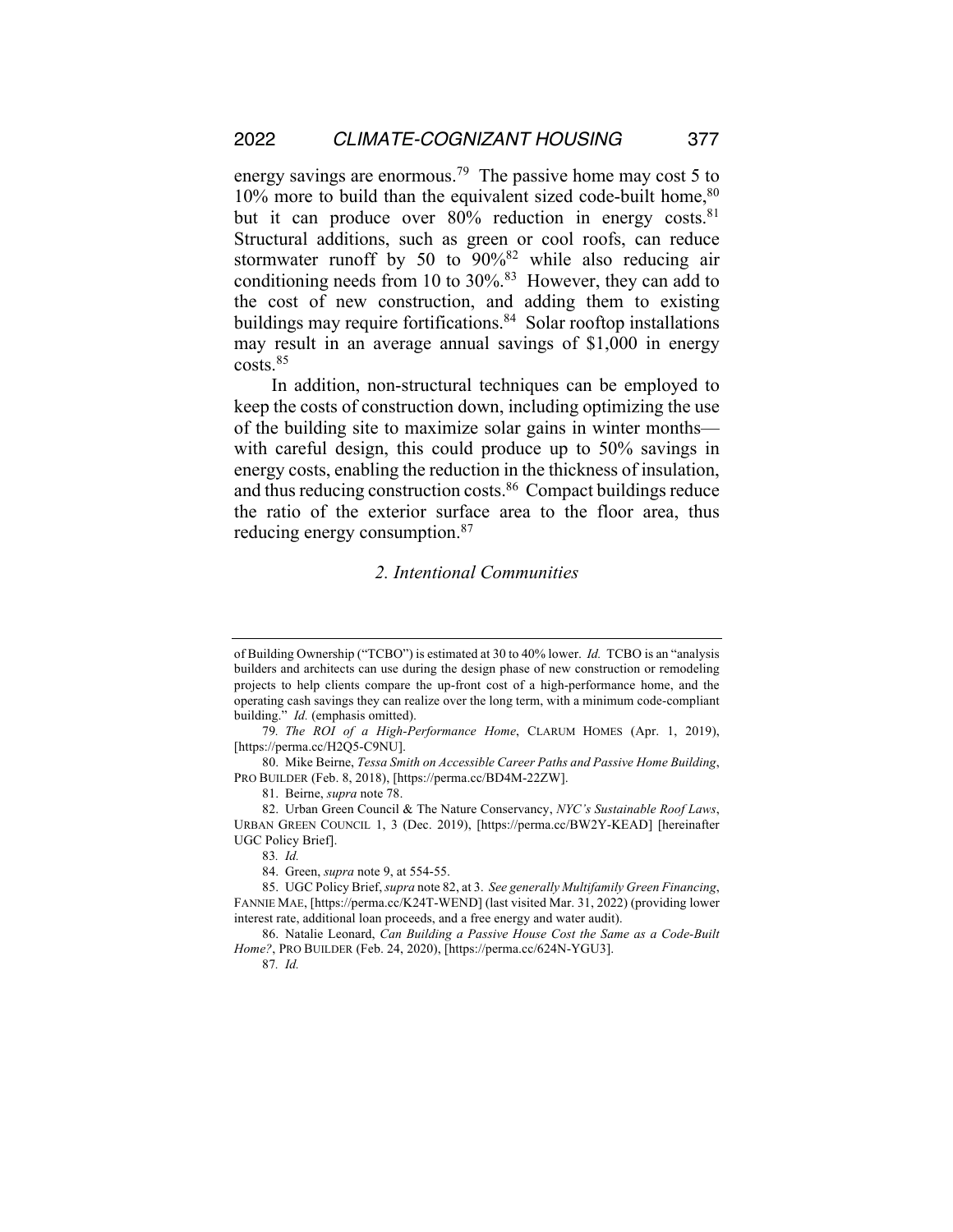energy savings are enormous.<sup>79</sup> The passive home may cost 5 to  $10\%$  more to build than the equivalent sized code-built home,  $80$ but it can produce over  $80\%$  reduction in energy costs.<sup>81</sup> Structural additions, such as green or cool roofs, can reduce stormwater runoff by 50 to  $90\%$ <sup>82</sup> while also reducing air conditioning needs from 10 to 30%.83 However, they can add to the cost of new construction, and adding them to existing buildings may require fortifications. $84$  Solar rooftop installations may result in an average annual savings of \$1,000 in energy costs.85

In addition, non-structural techniques can be employed to keep the costs of construction down, including optimizing the use of the building site to maximize solar gains in winter months with careful design, this could produce up to 50% savings in energy costs, enabling the reduction in the thickness of insulation, and thus reducing construction costs.86 Compact buildings reduce the ratio of the exterior surface area to the floor area, thus reducing energy consumption.87

## *2. Intentional Communities*

81. Beirne, *supra* note 78.

82. Urban Green Council & The Nature Conservancy, *NYC's Sustainable Roof Laws*, URBAN GREEN COUNCIL 1, 3 (Dec. 2019), [https://perma.cc/BW2Y-KEAD] [hereinafter UGC Policy Brief].

83*. Id.*

84. Green, *supra* note 9, at 554-55.

85. UGC Policy Brief, *supra* note 82, at 3. *See generally Multifamily Green Financing*, FANNIE MAE, [https://perma.cc/K24T-WEND] (last visited Mar. 31, 2022) (providing lower interest rate, additional loan proceeds, and a free energy and water audit).

86. Natalie Leonard, *Can Building a Passive House Cost the Same as a Code-Built Home?*, PRO BUILDER (Feb. 24, 2020), [https://perma.cc/624N-YGU3].

87*. Id.* 

of Building Ownership ("TCBO") is estimated at 30 to 40% lower. *Id.* TCBO is an "analysis builders and architects can use during the design phase of new construction or remodeling projects to help clients compare the up-front cost of a high-performance home, and the operating cash savings they can realize over the long term, with a minimum code-compliant building." *Id.* (emphasis omitted).

<sup>79</sup>*. The ROI of a High-Performance Home*, CLARUM HOMES (Apr. 1, 2019), [https://perma.cc/H2Q5-C9NU].

<sup>80.</sup> Mike Beirne, *Tessa Smith on Accessible Career Paths and Passive Home Building*, PRO BUILDER (Feb. 8, 2018), [https://perma.cc/BD4M-22ZW].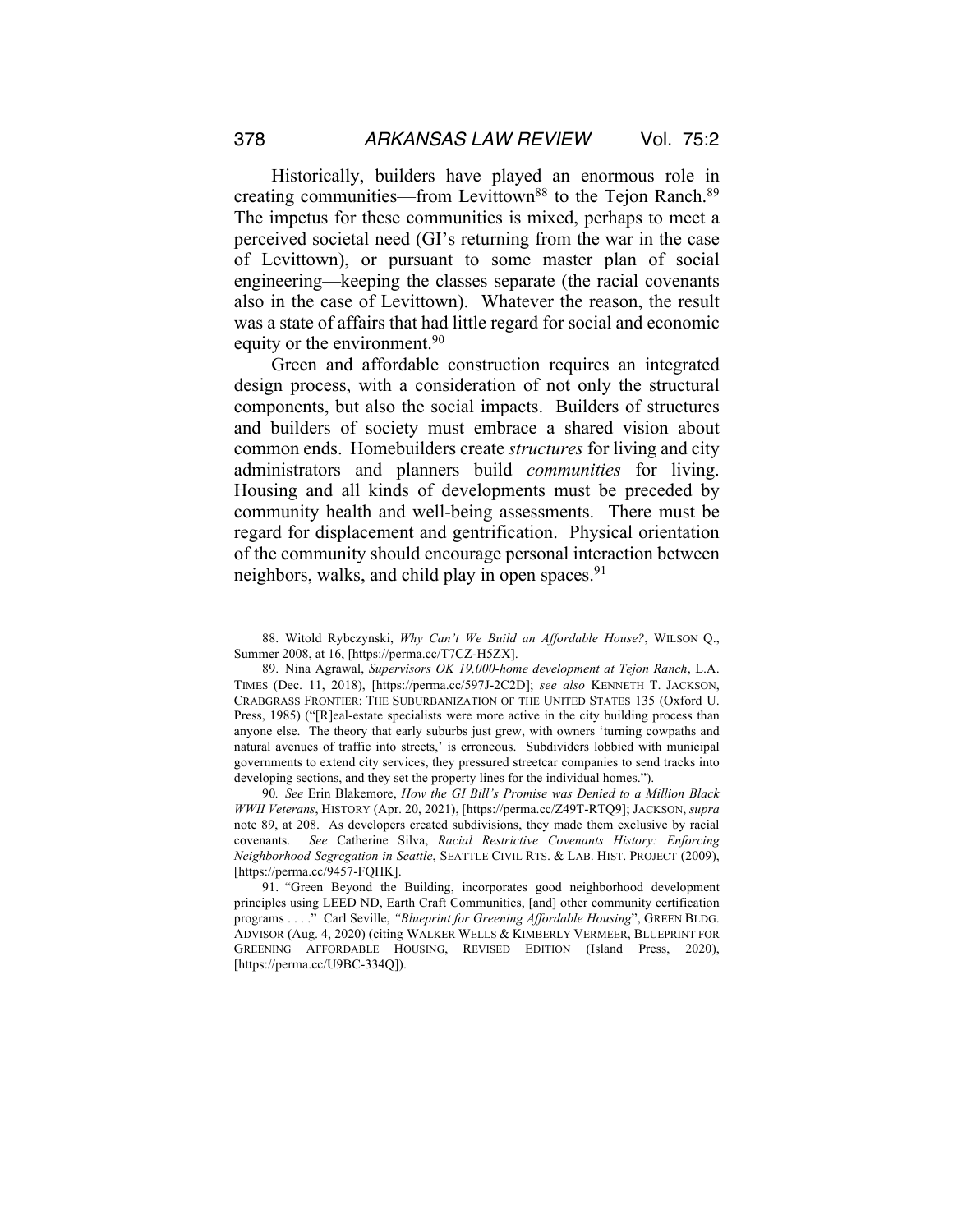Historically, builders have played an enormous role in creating communities—from Levittown<sup>88</sup> to the Tejon Ranch.<sup>89</sup> The impetus for these communities is mixed, perhaps to meet a perceived societal need (GI's returning from the war in the case of Levittown), or pursuant to some master plan of social engineering—keeping the classes separate (the racial covenants also in the case of Levittown). Whatever the reason, the result was a state of affairs that had little regard for social and economic equity or the environment.<sup>90</sup>

Green and affordable construction requires an integrated design process, with a consideration of not only the structural components, but also the social impacts. Builders of structures and builders of society must embrace a shared vision about common ends. Homebuilders create *structures* for living and city administrators and planners build *communities* for living. Housing and all kinds of developments must be preceded by community health and well-being assessments. There must be regard for displacement and gentrification. Physical orientation of the community should encourage personal interaction between neighbors, walks, and child play in open spaces.  $91$ 

<sup>88.</sup> Witold Rybczynski, *Why Can't We Build an Affordable House?*, WILSON Q., Summer 2008, at 16, [https://perma.cc/T7CZ-H5ZX].

<sup>89.</sup> Nina Agrawal, *Supervisors OK 19,000-home development at Tejon Ranch*, L.A. TIMES (Dec. 11, 2018), [https://perma.cc/597J-2C2D]; *see also* KENNETH T. JACKSON, CRABGRASS FRONTIER: THE SUBURBANIZATION OF THE UNITED STATES 135 (Oxford U. Press, 1985) ("[R]eal-estate specialists were more active in the city building process than anyone else. The theory that early suburbs just grew, with owners 'turning cowpaths and natural avenues of traffic into streets,' is erroneous. Subdividers lobbied with municipal governments to extend city services, they pressured streetcar companies to send tracks into developing sections, and they set the property lines for the individual homes.").

<sup>90</sup>*. See* Erin Blakemore, *How the GI Bill's Promise was Denied to a Million Black WWII Veterans*, HISTORY (Apr. 20, 2021), [https://perma.cc/Z49T-RTQ9]; JACKSON, *supra* note 89, at 208. As developers created subdivisions, they made them exclusive by racial covenants. *See* Catherine Silva, *Racial Restrictive Covenants History: Enforcing Neighborhood Segregation in Seattle*, SEATTLE CIVIL RTS. & LAB. HIST. PROJECT (2009), [https://perma.cc/9457-FQHK].

<sup>91.</sup> "Green Beyond the Building, incorporates good neighborhood development principles using LEED ND, Earth Craft Communities, [and] other community certification programs . . . ." Carl Seville, *"Blueprint for Greening Affordable Housing*", GREEN BLDG. ADVISOR (Aug. 4, 2020) (citing WALKER WELLS & KIMBERLY VERMEER, BLUEPRINT FOR GREENING AFFORDABLE HOUSING, REVISED EDITION (Island Press, 2020), [https://perma.cc/U9BC-334Q]).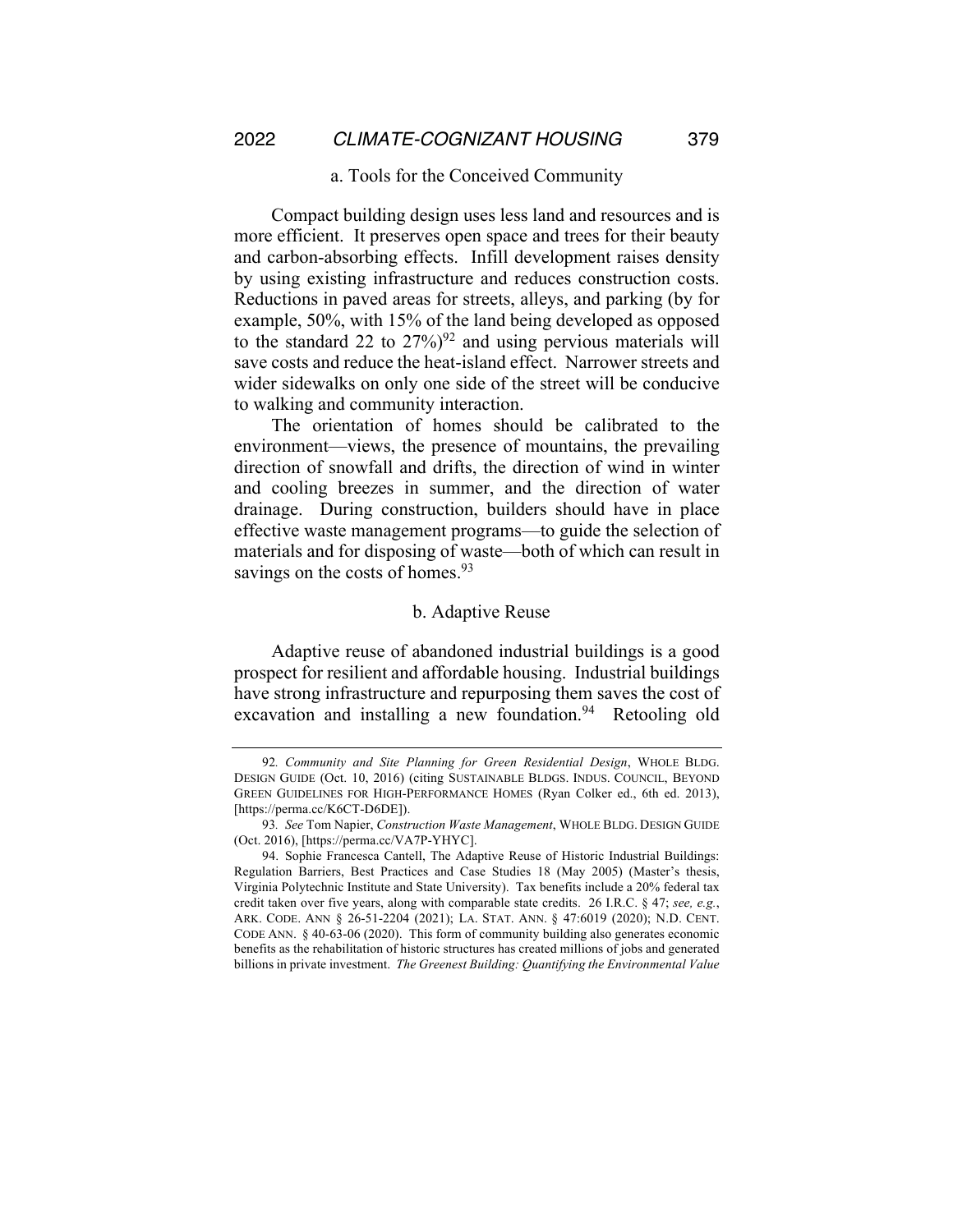#### a. Tools for the Conceived Community

Compact building design uses less land and resources and is more efficient. It preserves open space and trees for their beauty and carbon-absorbing effects. Infill development raises density by using existing infrastructure and reduces construction costs. Reductions in paved areas for streets, alleys, and parking (by for example, 50%, with 15% of the land being developed as opposed to the standard 22 to  $27\%$ <sup>92</sup> and using pervious materials will save costs and reduce the heat-island effect. Narrower streets and wider sidewalks on only one side of the street will be conducive to walking and community interaction.

The orientation of homes should be calibrated to the environment—views, the presence of mountains, the prevailing direction of snowfall and drifts, the direction of wind in winter and cooling breezes in summer, and the direction of water drainage. During construction, builders should have in place effective waste management programs—to guide the selection of materials and for disposing of waste—both of which can result in savings on the costs of homes.<sup>93</sup>

#### b. Adaptive Reuse

Adaptive reuse of abandoned industrial buildings is a good prospect for resilient and affordable housing. Industrial buildings have strong infrastructure and repurposing them saves the cost of excavation and installing a new foundation. $94$  Retooling old

<sup>92</sup>*. Community and Site Planning for Green Residential Design*, WHOLE BLDG. DESIGN GUIDE (Oct. 10, 2016) (citing SUSTAINABLE BLDGS. INDUS. COUNCIL, BEYOND GREEN GUIDELINES FOR HIGH-PERFORMANCE HOMES (Ryan Colker ed., 6th ed. 2013), [https://perma.cc/K6CT-D6DE]).

<sup>93</sup>*. See* Tom Napier, *Construction Waste Management*, WHOLE BLDG. DESIGN GUIDE (Oct. 2016), [https://perma.cc/VA7P-YHYC].

<sup>94.</sup> Sophie Francesca Cantell, The Adaptive Reuse of Historic Industrial Buildings: Regulation Barriers, Best Practices and Case Studies 18 (May 2005) (Master's thesis, Virginia Polytechnic Institute and State University). Tax benefits include a 20% federal tax credit taken over five years, along with comparable state credits. 26 I.R.C. § 47; *see, e.g.*, ARK. CODE. ANN § 26-51-2204 (2021); LA. STAT. ANN. § 47:6019 (2020); N.D. CENT. CODE ANN. § 40-63-06 (2020). This form of community building also generates economic benefits as the rehabilitation of historic structures has created millions of jobs and generated billions in private investment. *The Greenest Building: Quantifying the Environmental Value*